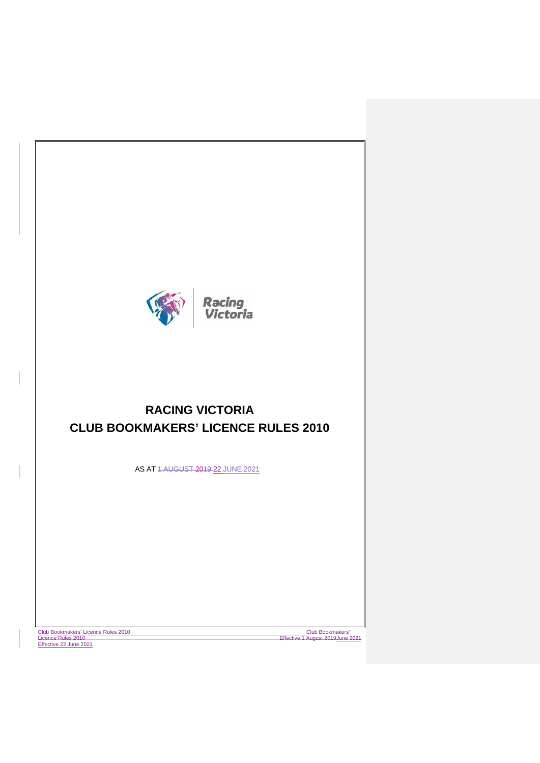

# **RACING VICTORIA CLUB BOOKMAKERS' LICENCE RULES 2010**

AS AT 1 AUGUST 2019 22 JUNE 2021

Club Bookmakers' Licence Rules 2010 Effective 22 June 2021

Licence Club Bookmakers<br>Ve 1 August 2019 <u>June 2021</u>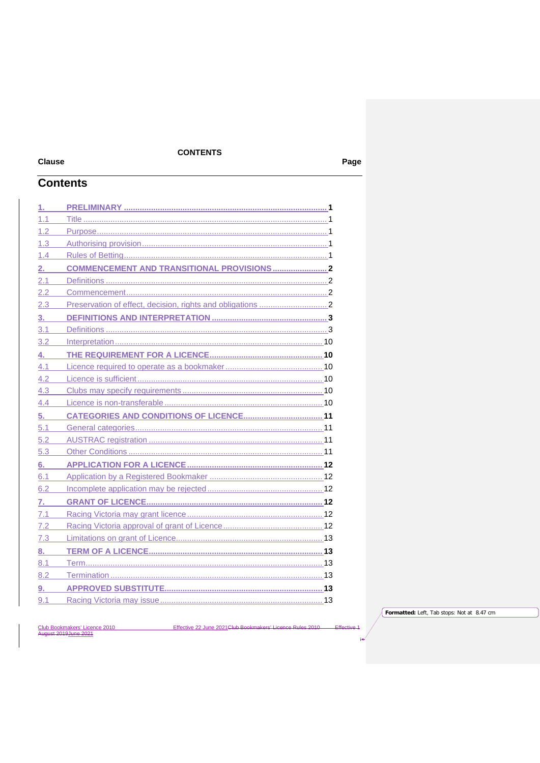# **CONTENTS**

# **Clause Contents**

| 1.  |  |
|-----|--|
| 1.1 |  |
| 1.2 |  |
| 1.3 |  |
| 1.4 |  |
| 2.  |  |
| 2.1 |  |
| 2.2 |  |
| 2.3 |  |
| 3.  |  |
| 3.1 |  |
| 3.2 |  |
| 4.  |  |
| 4.1 |  |
| 4.2 |  |
| 4.3 |  |
| 4.4 |  |
| 5.  |  |
| 5.1 |  |
| 5.2 |  |
| 5.3 |  |
| 6.  |  |
| 6.1 |  |
| 6.2 |  |
| 7.  |  |
| 7.1 |  |
| 7.2 |  |
| 7.3 |  |
| 8.  |  |
| 8.1 |  |
| 8.2 |  |
| 9.  |  |
| 9.1 |  |

Club Bookmakers' Licence 2010<br>August 2019 June 2021 Effective 22 June 2021 Club Bookmak a Rules  $2011$  Formatted: Left, Tab stops: Not at 8.47 cm

 $\overline{A}$ 

Page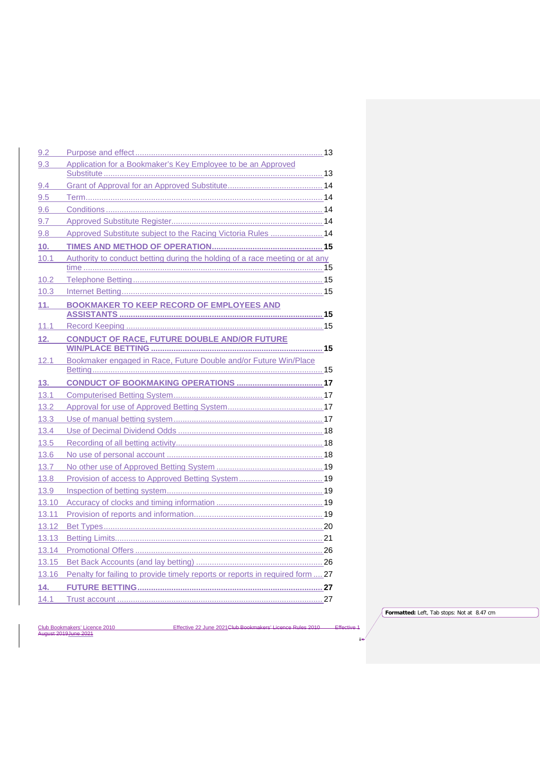| 9.2   |                                                                               |  |
|-------|-------------------------------------------------------------------------------|--|
| 9.3   | Application for a Bookmaker's Key Employee to be an Approved                  |  |
|       |                                                                               |  |
| 9.4   |                                                                               |  |
| 9.5   |                                                                               |  |
| 9.6   |                                                                               |  |
| 9.7   |                                                                               |  |
| 9.8   | Approved Substitute subject to the Racing Victoria Rules  14                  |  |
| 10.   |                                                                               |  |
| 10.1  | Authority to conduct betting during the holding of a race meeting or at any   |  |
|       |                                                                               |  |
| 10.2  |                                                                               |  |
| 10.3  |                                                                               |  |
| 11.   | <b>BOOKMAKER TO KEEP RECORD OF EMPLOYEES AND</b>                              |  |
|       |                                                                               |  |
| 11.1  |                                                                               |  |
| 12.   | <b>CONDUCT OF RACE, FUTURE DOUBLE AND/OR FUTURE</b>                           |  |
|       |                                                                               |  |
| 12.1  | Bookmaker engaged in Race, Future Double and/or Future Win/Place              |  |
|       |                                                                               |  |
|       |                                                                               |  |
| 13.   |                                                                               |  |
| 13.1  |                                                                               |  |
| 13.2  |                                                                               |  |
| 13.3  |                                                                               |  |
| 13.4  |                                                                               |  |
| 13.5  |                                                                               |  |
| 13.6  |                                                                               |  |
| 13.7  |                                                                               |  |
| 13.8  |                                                                               |  |
| 13.9  |                                                                               |  |
| 13.10 |                                                                               |  |
| 13.11 |                                                                               |  |
| 13.12 |                                                                               |  |
| 13.13 |                                                                               |  |
| 13.14 |                                                                               |  |
| 13.15 |                                                                               |  |
| 13.16 | Penalty for failing to provide timely reports or reports in required form  27 |  |
| 14.   |                                                                               |  |
| 14.1  |                                                                               |  |

Effective 22 June 2021 Club Bookmakers' Licence Rules 2010 Effective 1

**Formatted:** Left, Tab stops: Not at 8.47 cm

ii

Club Bookmakers' Licence 2010<br>August 2019 June 2021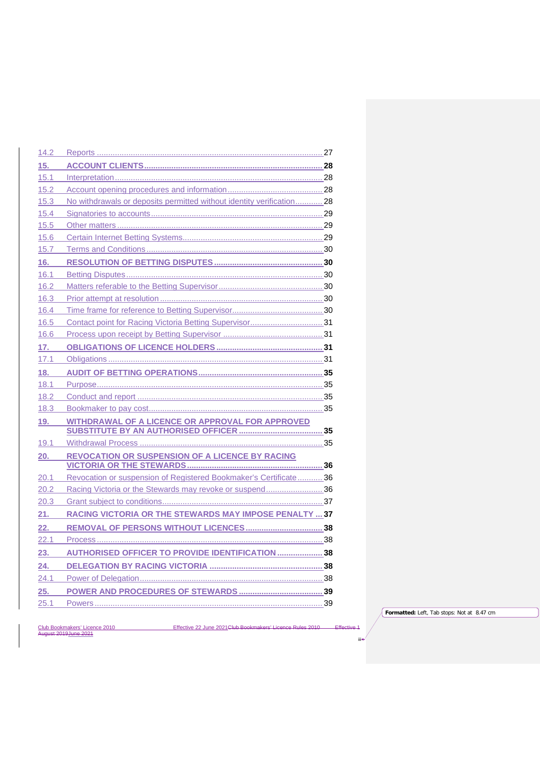| 14.2 |                                                                       |  |
|------|-----------------------------------------------------------------------|--|
| 15.  |                                                                       |  |
| 15.1 |                                                                       |  |
| 15.2 |                                                                       |  |
| 15.3 | No withdrawals or deposits permitted without identity verification 28 |  |
| 15.4 |                                                                       |  |
| 15.5 |                                                                       |  |
| 15.6 |                                                                       |  |
| 15.7 |                                                                       |  |
| 16.  |                                                                       |  |
| 16.1 |                                                                       |  |
| 16.2 |                                                                       |  |
| 16.3 |                                                                       |  |
| 16.4 |                                                                       |  |
| 16.5 | Contact point for Racing Victoria Betting Supervisor 31               |  |
| 16.6 |                                                                       |  |
| 17.  |                                                                       |  |
| 17.1 |                                                                       |  |
| 18.  |                                                                       |  |
| 18.1 |                                                                       |  |
| 18.2 |                                                                       |  |
| 18.3 |                                                                       |  |
| 19.  | <b>WITHDRAWAL OF A LICENCE OR APPROVAL FOR APPROVED</b>               |  |
|      |                                                                       |  |
| 19.1 |                                                                       |  |
| 20.  | <b>REVOCATION OR SUSPENSION OF A LICENCE BY RACING</b>                |  |
|      |                                                                       |  |
| 20.1 | Revocation or suspension of Registered Bookmaker's Certificate 36     |  |
| 20.2 | Racing Victoria or the Stewards may revoke or suspend36               |  |
| 20.3 |                                                                       |  |
| 21.  | <b>RACING VICTORIA OR THE STEWARDS MAY IMPOSE PENALTY  37</b>         |  |
| 22.  |                                                                       |  |
| 22.1 |                                                                       |  |
| 23.  | <b>AUTHORISED OFFICER TO PROVIDE IDENTIFICATION  38</b>               |  |
| 24.  |                                                                       |  |
| 24.1 |                                                                       |  |
| 25.  |                                                                       |  |
| 25.1 |                                                                       |  |
|      |                                                                       |  |

**Formatted:** Left, Tab stops: Not at 8.47 cm

Club Bookmakers' Licence 2010<br>August 2019 June 2021

Effective 22 June 2021 Club Bookmakers' Licence Rules 2010 Effective 1

iii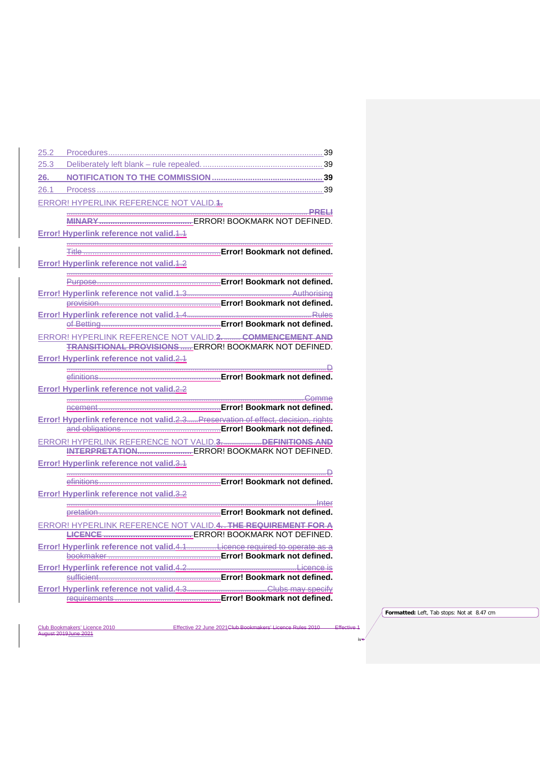| 25.2 |                                                 |                                                                                                        |
|------|-------------------------------------------------|--------------------------------------------------------------------------------------------------------|
| 25.3 |                                                 |                                                                                                        |
| 26.  |                                                 |                                                                                                        |
| 26.1 |                                                 |                                                                                                        |
|      | ERROR! HYPERLINK REFERENCE NOT VALID.4.         |                                                                                                        |
|      |                                                 |                                                                                                        |
|      |                                                 |                                                                                                        |
|      | Error! Hyperlink reference not valid.4.4        |                                                                                                        |
|      |                                                 |                                                                                                        |
|      | <b>Error! Hyperlink reference not valid.4.2</b> |                                                                                                        |
|      |                                                 |                                                                                                        |
|      |                                                 |                                                                                                        |
|      |                                                 |                                                                                                        |
|      | Error! Hyperlink reference not valid. 4.4       | <u>Rules</u>                                                                                           |
|      |                                                 |                                                                                                        |
|      |                                                 | ERROR! HYPERLINK REFERENCE NOT VALID.2 COMMENCEMENT AND                                                |
|      |                                                 | <b>TRANSITIONAL PROVISIONS ERROR! BOOKMARK NOT DEFINED.</b>                                            |
|      | Error! Hyperlink reference not valid.2.4        |                                                                                                        |
|      |                                                 |                                                                                                        |
|      |                                                 |                                                                                                        |
|      | Error! Hyperlink reference not valid.2.2        |                                                                                                        |
|      |                                                 |                                                                                                        |
|      |                                                 | Error! Hyperlink reference not valid.2.3 Preservation of effect, decision, rights                      |
|      |                                                 |                                                                                                        |
|      |                                                 | ERROR! HYPERLINK REFERENCE NOT VALID.3. DEFINITIONS AND<br>INTERPRETATION ERROR! BOOKMARK NOT DEFINED. |
|      | Error! Hyperlink reference not valid.3.1        |                                                                                                        |
|      |                                                 |                                                                                                        |
|      |                                                 |                                                                                                        |
|      | Error! Hyperlink reference not valid.3.2        |                                                                                                        |
|      |                                                 |                                                                                                        |
|      |                                                 |                                                                                                        |
|      |                                                 | ERROR! HYPERLINK REFERENCE NOT VALID.4. THE REQUIREMENT FOR A                                          |
|      |                                                 |                                                                                                        |
|      |                                                 |                                                                                                        |
|      |                                                 |                                                                                                        |
|      |                                                 |                                                                                                        |
|      |                                                 |                                                                                                        |
|      |                                                 |                                                                                                        |

**Formatted:** Left, Tab stops: Not at 8.47 cm

iv

Club Bookmakers' Licence 2010<br>August 2019 June 2021

Effective 22 June 2021 Club Bookmakers' Licence Rules 2010 Effective 1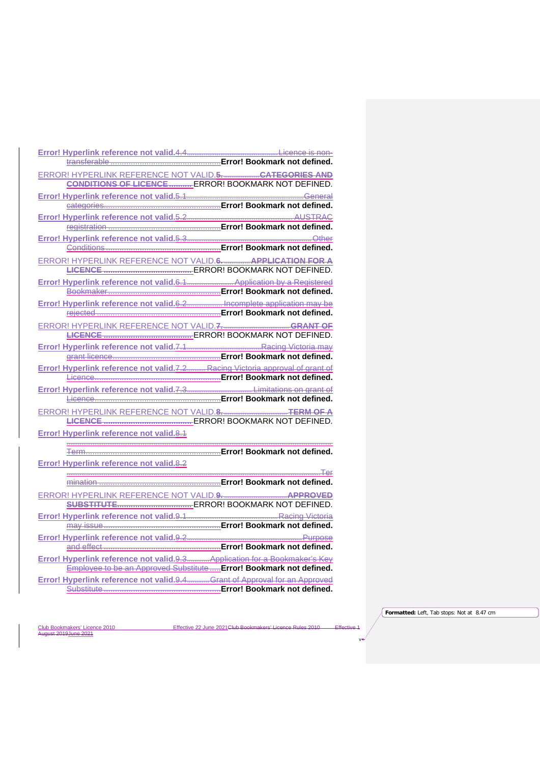| ERROR! HYPERLINK REFERENCE NOT VALID.5CATEGORIES AND                          |                                                                     |
|-------------------------------------------------------------------------------|---------------------------------------------------------------------|
|                                                                               | <b>CONDITIONS OF LICENCE  ERROR! BOOKMARK NOT DEFINED.</b>          |
|                                                                               |                                                                     |
|                                                                               |                                                                     |
|                                                                               |                                                                     |
|                                                                               |                                                                     |
|                                                                               |                                                                     |
|                                                                               |                                                                     |
| ERROR! HYPERLINK REFERENCE NOT VALID.6 APPLICATION FOR A                      |                                                                     |
|                                                                               |                                                                     |
|                                                                               |                                                                     |
| Error! Hyperlink reference not valid.6.2 Incomplete application may be        |                                                                     |
|                                                                               |                                                                     |
|                                                                               |                                                                     |
|                                                                               |                                                                     |
|                                                                               |                                                                     |
|                                                                               |                                                                     |
| Error! Hyperlink reference not valid.7.2 Racing Victoria approval of grant of |                                                                     |
|                                                                               |                                                                     |
|                                                                               |                                                                     |
|                                                                               |                                                                     |
|                                                                               |                                                                     |
|                                                                               |                                                                     |
| Error! Hyperlink reference not valid.8.1                                      |                                                                     |
|                                                                               |                                                                     |
|                                                                               |                                                                     |
| Error! Hyperlink reference not valid.8.2                                      |                                                                     |
|                                                                               |                                                                     |
|                                                                               |                                                                     |
|                                                                               |                                                                     |
|                                                                               |                                                                     |
|                                                                               |                                                                     |
|                                                                               |                                                                     |
|                                                                               |                                                                     |
| Error! Hyperlink reference not valid.9.3 Application for a Bookmaker's Key    |                                                                     |
|                                                                               | Employee to be an Approved Substitute  Error! Bookmark not defined. |
| Error! Hyperlink reference not valid.9.4 Grant of Approval for an Approved    |                                                                     |
|                                                                               |                                                                     |

Effective 22 June 2021 Club Bookmakers' Licence Rules 2010 Effective 1

**Formatted:** Left, Tab stops: Not at 8.47 cm

v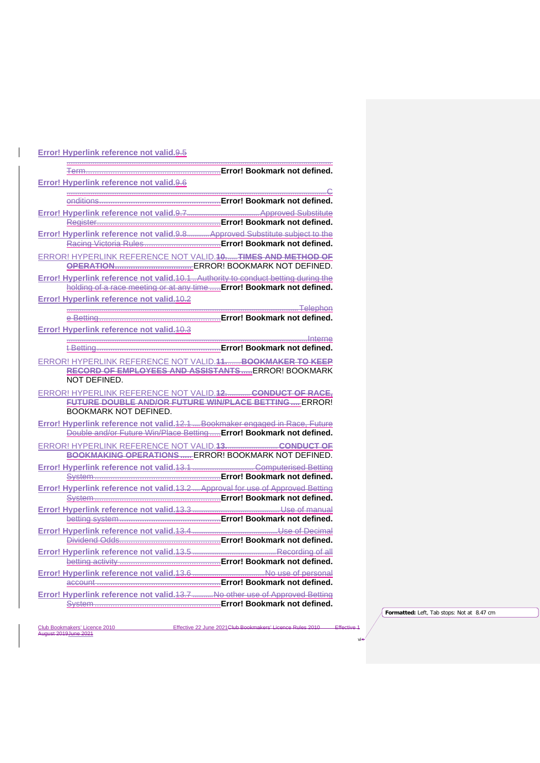| Error! Hyperlink reference not valid.9.6                                                                                                             |  |
|------------------------------------------------------------------------------------------------------------------------------------------------------|--|
|                                                                                                                                                      |  |
|                                                                                                                                                      |  |
|                                                                                                                                                      |  |
| Error! Hyperlink reference not valid.9.8 Approved Substitute subject to the                                                                          |  |
|                                                                                                                                                      |  |
| ERROR! HYPERLINK REFERENCE NOT VALID. 10. TIMES AND METHOD OF                                                                                        |  |
|                                                                                                                                                      |  |
| Error! Hyperlink reference not valid. 10.1. Authority to conduct betting during the                                                                  |  |
| holding of a race meeting or at any time  Error! Bookmark not defined.                                                                               |  |
| Error! Hyperlink reference not valid. 40.2                                                                                                           |  |
|                                                                                                                                                      |  |
|                                                                                                                                                      |  |
| Error! Hyperlink reference not valid. 40.3                                                                                                           |  |
|                                                                                                                                                      |  |
|                                                                                                                                                      |  |
| ERROR! HYPERLINK REFERENCE NOT VALID. 44 BOOKMAKER TO KEEP                                                                                           |  |
| RECORD OF EMPLOYEES AND ASSISTANTS ERROR! BOOKMARK                                                                                                   |  |
| NOT DEFINED.                                                                                                                                         |  |
| ERROR! HYPERLINK REFERENCE NOT VALID.12 CONDUCT OF RACE.                                                                                             |  |
| FUTURE DOUBLE AND/OR FUTURE WIN/PLACE BETTING ERROR!<br><b>BOOKMARK NOT DEFINED.</b>                                                                 |  |
|                                                                                                                                                      |  |
| Error! Hyperlink reference not valid. 12.1. Bookmaker engaged in Race, Future<br>Double and/or Future Win/Place Betting Error! Bookmark not defined. |  |
|                                                                                                                                                      |  |
| ERROR! HYPERLINK REFERENCE NOT VALID.13CONDUCT OF<br><b>BOOKMAKING OPERATIONS ERROR! BOOKMARK NOT DEFINED.</b>                                       |  |
|                                                                                                                                                      |  |
|                                                                                                                                                      |  |
| Error! Hyperlink reference not valid. 13.2. Approval for use of Approved Betting                                                                     |  |
|                                                                                                                                                      |  |
|                                                                                                                                                      |  |
|                                                                                                                                                      |  |
|                                                                                                                                                      |  |
|                                                                                                                                                      |  |
|                                                                                                                                                      |  |
|                                                                                                                                                      |  |
|                                                                                                                                                      |  |
|                                                                                                                                                      |  |
| Error! Hyperlink reference not valid. 13.7 No other use of Approved Betting                                                                          |  |
|                                                                                                                                                      |  |
|                                                                                                                                                      |  |

**Error! Hyperlink reference not valid.**9.5

Effective 22 June 2021Club Bookmakers' Licence Rules 2010 Effective 1 Club Bookmakers' Licence 2010<br>August 2019 June 2021

**Formatted:** Left, Tab stops: Not at 8.47 cm

vi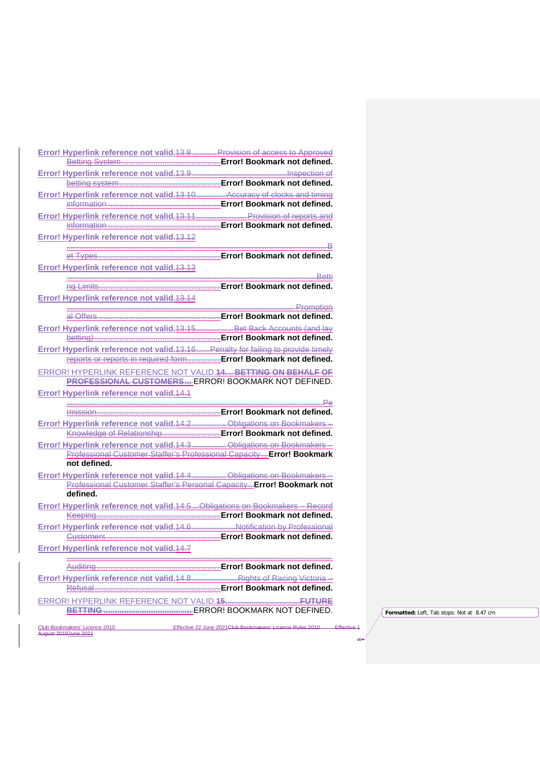|                                                                                                                                                          | Error! Hyperlink reference not valid. 13.8 Provision of access to Approved |
|----------------------------------------------------------------------------------------------------------------------------------------------------------|----------------------------------------------------------------------------|
|                                                                                                                                                          | Error! Bookmark not defined.                                               |
|                                                                                                                                                          |                                                                            |
|                                                                                                                                                          | <b>Error! Bookmark not defined.</b>                                        |
| Error! Hyperlink reference not valid. 13.10.                                                                                                             | Accuracy of clocks and timing                                              |
|                                                                                                                                                          | Error! Bookmark not defined.                                               |
| Error! Hyperlink reference not valid. 13.11                                                                                                              | <b>Example 20 Frovision of reports and</b><br>Error! Bookmark not defined. |
| Error! Hyperlink reference not valid. 13.12                                                                                                              |                                                                            |
|                                                                                                                                                          |                                                                            |
| et Types                                                                                                                                                 | <b>Error! Bookmark not defined.</b>                                        |
| Error! Hyperlink reference not valid. 13.13                                                                                                              |                                                                            |
|                                                                                                                                                          | <b>Error! Bookmark not defined.</b>                                        |
| na Limits                                                                                                                                                |                                                                            |
| Error! Hyperlink reference not valid. 13.14                                                                                                              |                                                                            |
|                                                                                                                                                          |                                                                            |
| Error! Hyperlink reference not valid. 13.15 Bet Back Accounts (and lay                                                                                   |                                                                            |
|                                                                                                                                                          |                                                                            |
| Error! Hyperlink reference not valid. 13.16 Penalty for failing to provide timely                                                                        |                                                                            |
| reports or reports in required form Error! Bookmark not defined.                                                                                         |                                                                            |
| ERROR! HYPERLINK REFERENCE NOT VALID.44, BETTING ON BEHALF OF                                                                                            |                                                                            |
| <b>PROFESSIONAL CUSTOMERS ERROR! BOOKMARK NOT DEFINED.</b>                                                                                               |                                                                            |
| Error! Hyperlink reference not valid. 14.1                                                                                                               |                                                                            |
| rmission                                                                                                                                                 | Error! Bookmark not defined.                                               |
|                                                                                                                                                          |                                                                            |
|                                                                                                                                                          |                                                                            |
| Knowledge of Relationship Error! Bookmark not defined.                                                                                                   |                                                                            |
|                                                                                                                                                          |                                                                            |
| Professional Customer Staffer's Professional Capacity  Error! Bookmark                                                                                   |                                                                            |
| not defined.                                                                                                                                             |                                                                            |
|                                                                                                                                                          |                                                                            |
| Professional Customer Staffer's Personal Capacity Error! Bookmark not<br>defined.                                                                        |                                                                            |
|                                                                                                                                                          |                                                                            |
| Error! Hyperlink reference not valid. 14.4  Obligations on Bookmakers -<br>Error! Hyperlink reference not valid. 14.5 Obligations on Bookmakers - Record | Error! Bookmark not defined.                                               |
| Error! Hyperlink reference not valid. 14.6 Notification by Professional                                                                                  |                                                                            |
|                                                                                                                                                          | Error! Bookmark not defined.                                               |
| Error! Hyperlink reference not valid. 14.7                                                                                                               |                                                                            |
|                                                                                                                                                          |                                                                            |
| Auditing                                                                                                                                                 | Error! Bookmark not defined.                                               |
|                                                                                                                                                          |                                                                            |
| Refusal                                                                                                                                                  | Error! Bookmark not defined.                                               |
|                                                                                                                                                          |                                                                            |
|                                                                                                                                                          |                                                                            |

**Formatted:** Left, Tab stops: Not at 8.47 cm

vii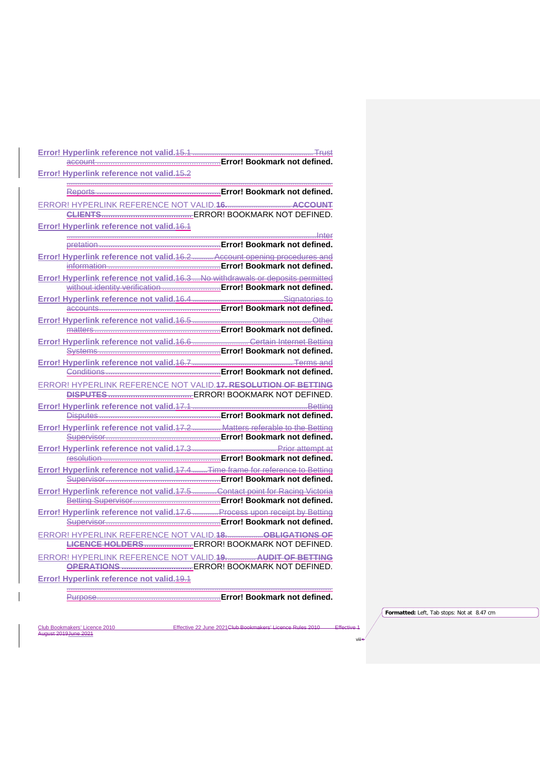| Error! Hyperlink reference not valid. 15.2                                        |                                     |
|-----------------------------------------------------------------------------------|-------------------------------------|
|                                                                                   |                                     |
|                                                                                   |                                     |
|                                                                                   |                                     |
| Error! Hyperlink reference not valid. 16.1                                        |                                     |
|                                                                                   |                                     |
|                                                                                   |                                     |
| Error! Hyperlink reference not valid. 16.2 Account opening procedures and         |                                     |
|                                                                                   |                                     |
| Error! Hyperlink reference not valid. 16.3. Ale withdrawals or deposits permitted |                                     |
|                                                                                   |                                     |
|                                                                                   |                                     |
|                                                                                   |                                     |
|                                                                                   |                                     |
| matters                                                                           | <b>Error! Bookmark not defined.</b> |
| Error! Hyperlink reference not valid. 16.6                                        | <u> Certain Internet Betting</u>    |
|                                                                                   |                                     |
|                                                                                   |                                     |
|                                                                                   |                                     |
| ERROR! HYPERLINK REFERENCE NOT VALID. 17. RESOLUTION OF BETTING                   |                                     |
|                                                                                   |                                     |
|                                                                                   |                                     |
|                                                                                   |                                     |
| Error! Hyperlink reference not valid.47.2 Matters referable to the Betting        |                                     |
|                                                                                   |                                     |
|                                                                                   |                                     |
|                                                                                   |                                     |
| Error! Hyperlink reference not valid.47.4 Time frame for reference to Betting     |                                     |
|                                                                                   |                                     |
| Error! Hyperlink reference not valid. 17.5Contact point for Racing Victoria       |                                     |
|                                                                                   |                                     |
| Error! Hyperlink reference not valid. 17.6 Process upon receipt by Betting        |                                     |
|                                                                                   |                                     |
|                                                                                   |                                     |
|                                                                                   |                                     |
| ERROR! HYPERLINK REFERENCE NOT VALID.19. AUDIT OF BETTING                         |                                     |
|                                                                                   |                                     |
| Error! Hyperlink reference not valid. 19.1                                        |                                     |

# Purpose.......................................................**Error! Bookmark not defined.**

Club Bookmakers' Licence 2010<br>August 2019 June 2021

Effective 22 June 2021Club Bookmakers' Licence Rules 2010 Effective 1

...............................................................................................................................................

**Formatted:** Left, Tab stops: Not at 8.47 cm

viii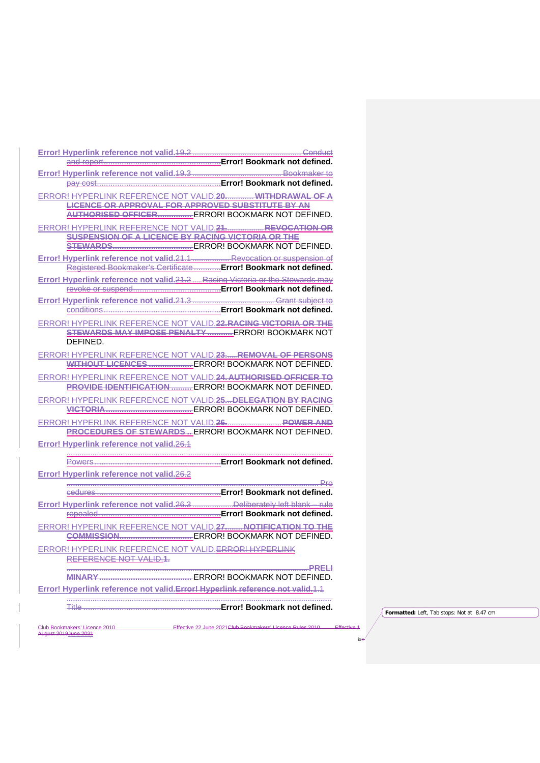| ERROR! HYPERLINK REFERENCE NOT VALID.20 WITHDRAWAL OF A                                                     |
|-------------------------------------------------------------------------------------------------------------|
| <b>LICENCE OR APPROVAL FOR APPROVED SUBSTITUTE BY AN</b><br>AUTHORISED OFFICER ERROR! BOOKMARK NOT DEFINED. |
| ERROR! HYPERLINK REFERENCE NOT VALID.21 REVOCATION OR                                                       |
| <b>SUSPENSION OF A LICENCE BY RACING VICTORIA OR THE</b>                                                    |
|                                                                                                             |
| Error! Hyperlink reference not valid.21.1 Revocation or suspension of                                       |
| Registered Bookmaker's Certificate  Error! Bookmark not defined.                                            |
| Error! Hyperlink reference not valid.21.2. Racing Victoria or the Stewards may                              |
|                                                                                                             |
|                                                                                                             |
|                                                                                                             |
| ERROR! HYPERLINK REFERENCE NOT VALID.22.RACING VICTORIA OR THE                                              |
| STEWARDS MAY IMPOSE PENALTY  ERROR! BOOKMARK NOT                                                            |
| DEFINED.                                                                                                    |
| ERROR! HYPERLINK REFERENCE NOT VALID.23. REMOVAL OF PERSONS                                                 |
| WITHOUT LICENCES  ERROR! BOOKMARK NOT DEFINED.                                                              |
| ERROR! HYPERLINK REFERENCE NOT VALID.24. AUTHORISED OFFICER TO                                              |
| <b>PROVIDE IDENTIFICATION  ERROR! BOOKMARK NOT DEFINED.</b>                                                 |
| ERROR! HYPERLINK REFERENCE NOT VALID.25 DELEGATION BY RACING                                                |
|                                                                                                             |
| <b>PROCEDURES OF STEWARDSERROR! BOOKMARK NOT DEFINED.</b>                                                   |
|                                                                                                             |
| Error! Hyperlink reference not valid.26.4                                                                   |
|                                                                                                             |
| Error! Hyperlink reference not valid.26.2                                                                   |
| <del> P</del> ro                                                                                            |
|                                                                                                             |
|                                                                                                             |
|                                                                                                             |
| ERROR! HYPERLINK REFERENCE NOT VALID.27 NOTIFICATION TO THE                                                 |
|                                                                                                             |
| ERROR! HYPERLINK REFERENCE NOT VALID. ERROR! HYPERLINK                                                      |
|                                                                                                             |
|                                                                                                             |
| Error! Hyperlink reference not valid. Error! Hyperlink reference not valid. 1.1                             |
|                                                                                                             |

Title .............................................................**Error! Bookmark not defined.**

Effective 22 June 2021 Club Bookmakers' Licence Rules 2010 Effective 1

Club Bookmakers' Licence 2010<br>August 2019 June 2021

**Formatted:** Left, Tab stops: Not at 8.47 cm

ix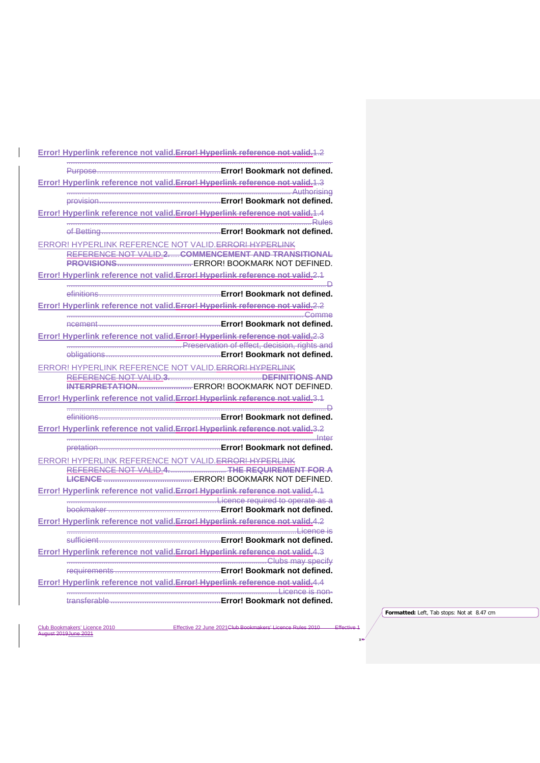| <u>Error! Hyperlink reference not valid. Error! Hyperlink reference not valid. 1.2</u>                                  |
|-------------------------------------------------------------------------------------------------------------------------|
|                                                                                                                         |
| Error! Hyperlink reference not valid. Error! Hyperlink reference not valid. 1.3                                         |
|                                                                                                                         |
| Error! Hyperlink reference not valid. Error! Hyperlink reference not valid. 1.4                                         |
|                                                                                                                         |
|                                                                                                                         |
| ERROR! HYPERLINK REFERENCE NOT VALID. <del>ERROR! HYPERLINK</del><br>REFERENCE NOT VALID.2COMMENCEMENT AND TRANSITIONAL |
|                                                                                                                         |
| Error! Hyperlink reference not valid. Error! Hyperlink reference not valid.2.1                                          |
|                                                                                                                         |
| Error! Hyperlink reference not valid. Error! Hyperlink reference not valid. 2.2                                         |
|                                                                                                                         |
|                                                                                                                         |
| Error! Hyperlink reference not valid. Error! Hyperlink reference not valid. 2.3                                         |
|                                                                                                                         |
|                                                                                                                         |
|                                                                                                                         |
|                                                                                                                         |
| Error! Hyperlink reference not valid. Error! Hyperlink reference not valid.3.1                                          |
|                                                                                                                         |
| Error! Hyperlink reference not valid. Error! Hyperlink reference not valid. 3.2                                         |
|                                                                                                                         |
|                                                                                                                         |
| ERROR! HYPERLINK REFERENCE NOT VALID. ERROR! HYPERLINK                                                                  |
|                                                                                                                         |
|                                                                                                                         |
| Error! Hyperlink reference not valid. Error! Hyperlink reference not valid. 4.1<br>Licence required to operate as a     |
|                                                                                                                         |
| Error! Hyperlink reference not valid. Error! Hyperlink reference not valid. 4.2                                         |
|                                                                                                                         |
| Error! Hyperlink reference not valid.Error! Hyperlink reference not valid.4.3                                           |
|                                                                                                                         |
|                                                                                                                         |
| Error! Hyperlink reference not valid. Error! Hyperlink reference not valid. 4.4                                         |
|                                                                                                                         |
|                                                                                                                         |

Effective 22 June 2021 Club Bookmakers' Licence Rules 2010 Effective 1

**Formatted:** Left, Tab stops: Not at 8.47 cm

 $\overline{X}$ 

Club Bookmakers' Licence 2010<br>August 2019 June 2021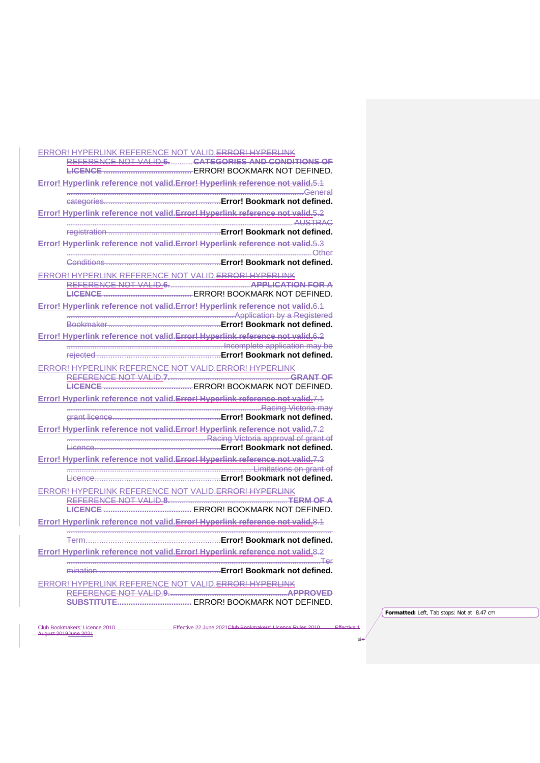| <b>ERROR! HYPERLINK REFERENCE NOT VALID. ERROR! HYPERLINK</b>                   |
|---------------------------------------------------------------------------------|
| REFERENCE NOT VALID.5. CATEGORIES AND CONDITIONS OF                             |
|                                                                                 |
| Error! Hyperlink reference not valid. Error! Hyperlink reference not valid. 6.1 |
|                                                                                 |
| Error! Hyperlink reference not valid. Error! Hyperlink reference not valid. 5.2 |
| AUSTRAC                                                                         |
|                                                                                 |
| Error! Hyperlink reference not valid. Error! Hyperlink reference not valid. 5.3 |
|                                                                                 |
| ERROR! HYPERLINK REFERENCE NOT VALID. ERROR! HYPERLINK                          |
|                                                                                 |
|                                                                                 |
| Error! Hyperlink reference not valid. Error! Hyperlink reference not valid. 6.1 |
|                                                                                 |
|                                                                                 |
| Error! Hyperlink reference not valid. Error! Hyperlink reference not valid. 6.2 |
|                                                                                 |
| ERROR! HYPERLINK REFERENCE NOT VALID. ERROR! HYPERLINK                          |
|                                                                                 |
|                                                                                 |
| Error! Hyperlink reference not valid. Error! Hyperlink reference not valid.7.1  |
|                                                                                 |
|                                                                                 |
| Error! Hyperlink reference not valid. Error! Hyperlink reference not valid. 7.2 |
|                                                                                 |
| Error! Hyperlink reference not valid. Error! Hyperlink reference not valid.7.3  |
|                                                                                 |
|                                                                                 |
| ERROR! HYPERLINK REFERENCE NOT VALID. ERROR! HYPERLINK                          |
| REFERENCE NOT VALID.8.                                                          |
|                                                                                 |
| Error! Hyperlink reference not valid. Error! Hyperlink reference not valid. 8.1 |
|                                                                                 |
| Error! Hyperlink reference not valid. Error! Hyperlink reference not valid. 8.2 |
|                                                                                 |
|                                                                                 |
| ERROR! HYPERLINK REFERENCE NOT VALID. ERROR! HYPERLINK                          |
| REFERENCE NOT VALID.9.                                                          |
|                                                                                 |

Effective 22 June 2021 Club Bookmakers' Licence Rules 2010 Effective 1

**Formatted:** Left, Tab stops: Not at 8.47 cm

xi

Club Bookmakers' Licence 2010<br>August 2019 June 2021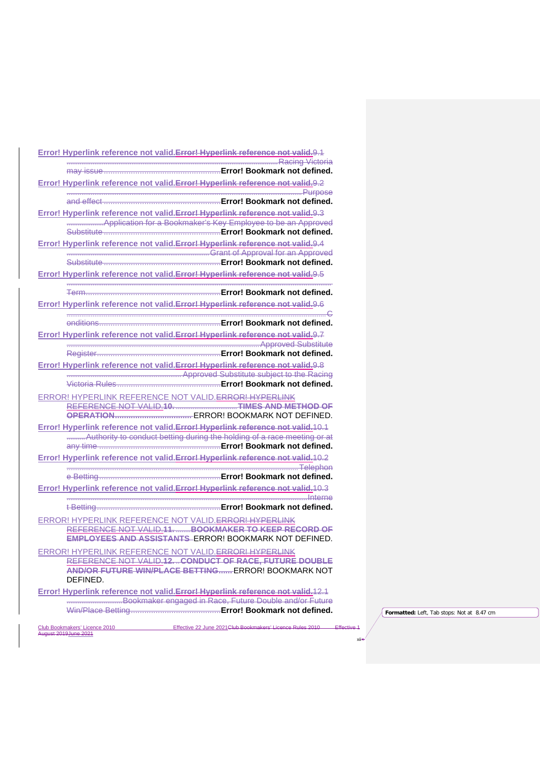| Error! Hyperlink reference not valid. Error! Hyperlink reference not valid.9.1                                                                                                                                                                                                                                           |
|--------------------------------------------------------------------------------------------------------------------------------------------------------------------------------------------------------------------------------------------------------------------------------------------------------------------------|
|                                                                                                                                                                                                                                                                                                                          |
| Error! Hyperlink reference not valid. Error! Hyperlink reference not valid.9.2                                                                                                                                                                                                                                           |
|                                                                                                                                                                                                                                                                                                                          |
|                                                                                                                                                                                                                                                                                                                          |
| Error! Hyperlink reference not valid. Error! Hyperlink reference not valid. 9.3                                                                                                                                                                                                                                          |
| Montgotten for a Bookmaker's Key Employee to be an Approved<br>Substitute <b>Contract Contract Contract Contract Contract Contract Contract Contract Contract Contract Contract Contract Contract Contract Contract Contract Contract Contract Contract Contract Contract Contract Contract Con</b>                      |
| Error! Hyperlink reference not valid. Error! Hyperlink reference not valid. 9.4                                                                                                                                                                                                                                          |
|                                                                                                                                                                                                                                                                                                                          |
|                                                                                                                                                                                                                                                                                                                          |
| Error! Hyperlink reference not valid. Error! Hyperlink reference not valid. 9.5                                                                                                                                                                                                                                          |
|                                                                                                                                                                                                                                                                                                                          |
| Error! Hyperlink reference not valid. Error! Hyperlink reference not valid. 9.6                                                                                                                                                                                                                                          |
|                                                                                                                                                                                                                                                                                                                          |
| Error! Hyperlink reference not valid. Error! Hyperlink reference not valid. 9.7                                                                                                                                                                                                                                          |
|                                                                                                                                                                                                                                                                                                                          |
|                                                                                                                                                                                                                                                                                                                          |
| Error! Hyperlink reference not valid. Error! Hyperlink reference not valid. 9.8<br>Approved Substitute subject to the Racing                                                                                                                                                                                             |
|                                                                                                                                                                                                                                                                                                                          |
| ERROR! HYPERLINK REFERENCE NOT VALID. ERROR! HYPERLINK                                                                                                                                                                                                                                                                   |
| REFERENCE NOT VALID.10.                                                                                                                                                                                                                                                                                                  |
|                                                                                                                                                                                                                                                                                                                          |
| Error! Hyperlink reference not valid. Error! Hyperlink reference not valid. 10.1                                                                                                                                                                                                                                         |
|                                                                                                                                                                                                                                                                                                                          |
| Error! Hyperlink reference not valid. Error! Hyperlink reference not valid. 10.2                                                                                                                                                                                                                                         |
|                                                                                                                                                                                                                                                                                                                          |
|                                                                                                                                                                                                                                                                                                                          |
| Error! Hyperlink reference not valid. Error! Hyperlink reference not valid. 10.3<br><u>nterne de la communicación de la componenta de la componenta de la componenta de la componenta de la componenta de la componenta de la componenta de la componenta de la componenta de la componenta de la componenta de la c</u> |
|                                                                                                                                                                                                                                                                                                                          |
| ERROR! HYPERLINK REFERENCE NOT VALID. ERROR! HYPERLINK                                                                                                                                                                                                                                                                   |
| REFERENCE NOT VALID.11. BOOKMAKER TO KEEP RECORD OF                                                                                                                                                                                                                                                                      |
| EMPLOYEES AND ASSISTANTS ERROR! BOOKMARK NOT DEFINED.                                                                                                                                                                                                                                                                    |
| ERROR! HYPERLINK REFERENCE NOT VALID. ERROR! HYPERLINK<br>REFERENCE NOT VALID.12. CONDUCT OF RACE, FUTURE DOUBLE                                                                                                                                                                                                         |
| AND/OR FUTURE WIN/PLACE BETTING ERROR! BOOKMARK NOT                                                                                                                                                                                                                                                                      |
| DEFINED.                                                                                                                                                                                                                                                                                                                 |
| Error! Hyperlink reference not valid. Error! Hyperlink reference not valid. 12.1                                                                                                                                                                                                                                         |
|                                                                                                                                                                                                                                                                                                                          |
|                                                                                                                                                                                                                                                                                                                          |

Effective 22 June 2021 Club Bookmakers' Licence Rules 2010 Effective 1 Club Bookmakers' Licence 2010<br>August 2019 June 2021

**Formatted:** Left, Tab stops: Not at 8.47 cm

xii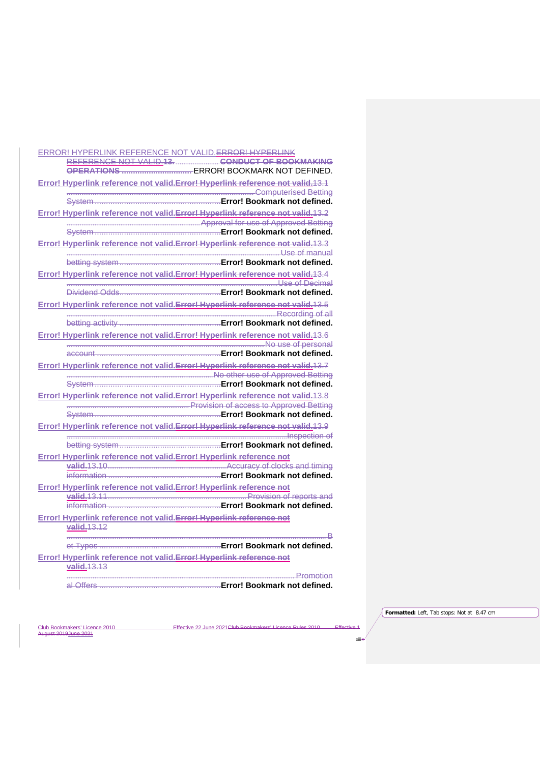| ERROR! HYPERLINK REFERENCE NOT VALID. ERROR! HYPERLINK                                                                                                                                                                         |
|--------------------------------------------------------------------------------------------------------------------------------------------------------------------------------------------------------------------------------|
| REFERENCE NOT VALID.13. CONDUCT OF BOOKMAKING                                                                                                                                                                                  |
|                                                                                                                                                                                                                                |
| Error! Hyperlink reference not valid. Error! Hyperlink reference not valid. 13.1                                                                                                                                               |
|                                                                                                                                                                                                                                |
|                                                                                                                                                                                                                                |
| Error! Hyperlink reference not valid. Error! Hyperlink reference not valid. 13.2                                                                                                                                               |
| The Constitution of the Constitution of the Constitution of the Constitution of the Constitution of the Constitution of the Constitution of the Constitution of the Constitution of the Constitution of the Constitution of th |
|                                                                                                                                                                                                                                |
| Error! Hyperlink reference not valid. Error! Hyperlink reference not valid. 13.3                                                                                                                                               |
|                                                                                                                                                                                                                                |
|                                                                                                                                                                                                                                |
| Error! Hyperlink reference not valid. Error! Hyperlink reference not valid. 13.4                                                                                                                                               |
|                                                                                                                                                                                                                                |
|                                                                                                                                                                                                                                |
| Error! Hyperlink reference not valid. Error! Hyperlink reference not valid. 13.5                                                                                                                                               |
| Recording of all                                                                                                                                                                                                               |
|                                                                                                                                                                                                                                |
| Error! Hyperlink reference not valid. Error! Hyperlink reference not valid. 13.6                                                                                                                                               |
|                                                                                                                                                                                                                                |
|                                                                                                                                                                                                                                |
| Error! Hyperlink reference not valid. Error! Hyperlink reference not valid. 13.7                                                                                                                                               |
|                                                                                                                                                                                                                                |
|                                                                                                                                                                                                                                |
| Error! Hyperlink reference not valid. Error! Hyperlink reference not valid. 13.8<br>The Constitution of access to Approved Betting                                                                                             |
|                                                                                                                                                                                                                                |
| Error! Hyperlink reference not valid. Error! Hyperlink reference not valid. 13.9                                                                                                                                               |
|                                                                                                                                                                                                                                |
|                                                                                                                                                                                                                                |
| Error! Hyperlink reference not valid. Error! Hyperlink reference not                                                                                                                                                           |
|                                                                                                                                                                                                                                |
|                                                                                                                                                                                                                                |
| Error! Hyperlink reference not valid. Error! Hyperlink reference not                                                                                                                                                           |
|                                                                                                                                                                                                                                |
|                                                                                                                                                                                                                                |
| Error! Hyperlink reference not valid. Error! Hyperlink reference not                                                                                                                                                           |
| valid. 13.12                                                                                                                                                                                                                   |
|                                                                                                                                                                                                                                |
|                                                                                                                                                                                                                                |
| Error! Hyperlink reference not valid. Error! Hyperlink reference not                                                                                                                                                           |
| valid. 13.13                                                                                                                                                                                                                   |
|                                                                                                                                                                                                                                |

al Offers ......................................................**Error! Bookmark not defined.**

Effective 22 June 2021 Club Bookmakers' Licence Rules 2010 Effective 1

**Formatted:** Left, Tab stops: Not at 8.47 cm

xiii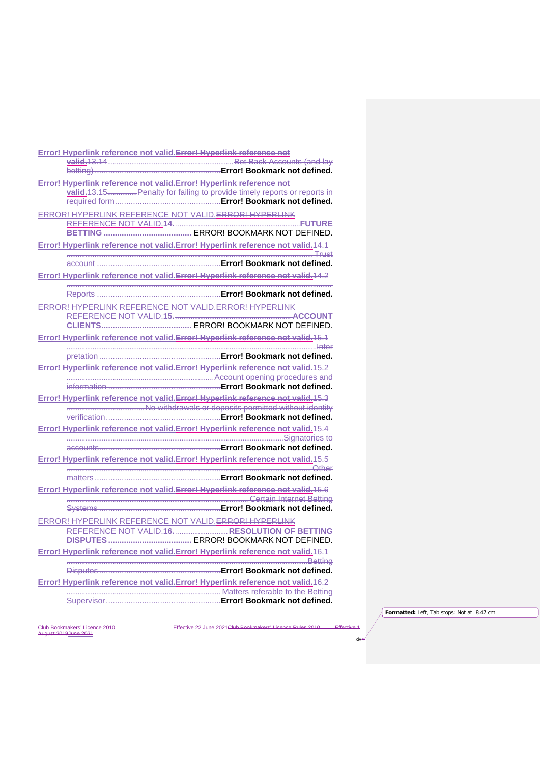| Error! Hyperlink reference not valid. Error! Hyperlink reference not                             |
|--------------------------------------------------------------------------------------------------|
|                                                                                                  |
|                                                                                                  |
| Error! Hyperlink reference not valid. Error! Hyperlink reference not                             |
|                                                                                                  |
| ERROR! HYPERLINK REFERENCE NOT VALID. ERROR! HYPERLINK                                           |
| REFERENCE NOT VALID.14.                                                                          |
| Error! Hyperlink reference not valid. Error! Hyperlink reference not valid. 14.1                 |
|                                                                                                  |
| Error! Hyperlink reference not valid. Error! Hyperlink reference not valid. 14.2                 |
|                                                                                                  |
| ERROR! HYPERLINK REFERENCE NOT VALID. ERROR! HYPERLINK<br>REFERENCE NOT VALID.15.                |
|                                                                                                  |
| Error! Hyperlink reference not valid. Error! Hyperlink reference not valid. 15.1                 |
|                                                                                                  |
|                                                                                                  |
| Error! Hyperlink reference not valid. Error! Hyperlink reference not valid. 15.2                 |
| www.communication.com/www.communication.com/www.communication.com/www.communication.com          |
| Error! Hyperlink reference not valid. Error! Hyperlink reference not valid. 15.3                 |
|                                                                                                  |
|                                                                                                  |
| Error! Hyperlink reference not valid.Error! Hyperlink reference not valid.15.4<br>Signatories to |
|                                                                                                  |
| Error! Hyperlink reference not valid. Error! Hyperlink reference not valid. 15.5                 |
|                                                                                                  |
|                                                                                                  |
| Error! Hyperlink reference not valid. Error! Hyperlink reference not valid. 15.6                 |
|                                                                                                  |
| ERROR! HYPERLINK REFERENCE NOT VALID. ERROR! HYPERLINK                                           |
| REFERENCE NOT VALID.16. RESOLUTION OF BETTING                                                    |
|                                                                                                  |
| Error! Hyperlink reference not valid. Error! Hyperlink reference not valid. 16.1                 |
|                                                                                                  |
| Error! Hyperlink reference not valid. Error! Hyperlink reference not valid. 16.2                 |
|                                                                                                  |
|                                                                                                  |

Effective 22 June 2021 Club Bookmakers' Licence Rules 2010 Effective 1

**Formatted:** Left, Tab stops: Not at 8.47 cm

xiv

Club Bookmakers' Licence 2010<br>August 2019 June 2021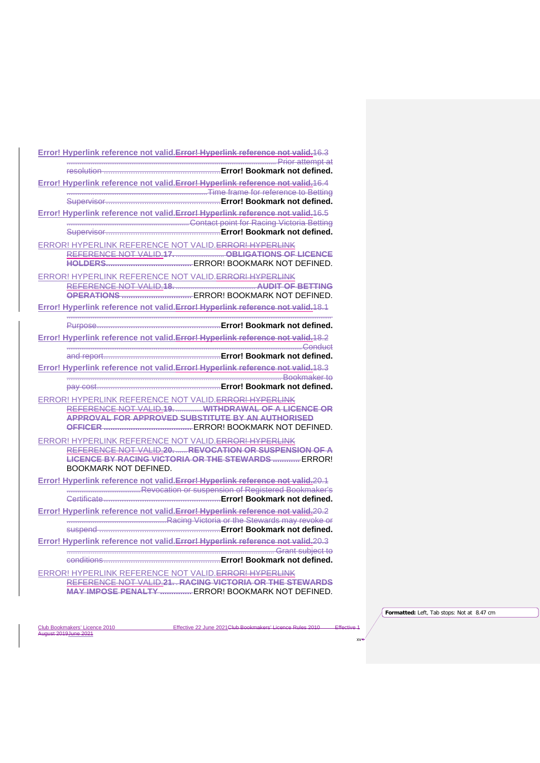| Error! Hyperlink reference not valid. Error! Hyperlink reference not valid. 16.3                                        |
|-------------------------------------------------------------------------------------------------------------------------|
|                                                                                                                         |
|                                                                                                                         |
| Error! Hyperlink reference not valid. Error! Hyperlink reference not valid. 16.4<br>Time frame for reference to Betting |
|                                                                                                                         |
| Error! Hyperlink reference not valid. Error! Hyperlink reference not valid. 16.5                                        |
|                                                                                                                         |
|                                                                                                                         |
| ERROR! HYPERLINK REFERENCE NOT VALID. ERROR! HYPERLINK                                                                  |
| REFERENCE NOT VALID.17. OBLIGATIONS OF LICENCE                                                                          |
|                                                                                                                         |
| ERROR! HYPERLINK REFERENCE NOT VALID. ERROR! HYPERLINK                                                                  |
| REFERENCE NOT VALID.18.                                                                                                 |
|                                                                                                                         |
| Error! Hyperlink reference not valid. Error! Hyperlink reference not valid. 18.1                                        |
|                                                                                                                         |
| Error! Hyperlink reference not valid. Error! Hyperlink reference not valid. 18.2                                        |
|                                                                                                                         |
|                                                                                                                         |
| Error! Hyperlink reference not valid. Error! Hyperlink reference not valid. 18.3                                        |
|                                                                                                                         |
|                                                                                                                         |
| ERROR! HYPERLINK REFERENCE NOT VALID. ERROR! HYPERLINK                                                                  |
| REFERENCE NOT VALID.19. WITHDRAWAL OF A LICENCE OR<br><b>APPROVAL FOR APPROVED SUBSTITUTE BY AN AUTHORISED</b>          |
|                                                                                                                         |
| ERROR! HYPERLINK REFERENCE NOT VALID. ERROR! HYPERLINK                                                                  |
| REFERENCE NOT VALID.20. REVOCATION OR SUSPENSION OF A                                                                   |
| LICENCE BY RACING VICTORIA OR THE STEWARDS  ERROR!                                                                      |
| <b>BOOKMARK NOT DEFINED.</b>                                                                                            |
| Error! Hyperlink reference not valid. Error! Hyperlink reference not valid.20.1                                         |
|                                                                                                                         |
|                                                                                                                         |
| Error! Hyperlink reference not valid. Error! Hyperlink reference not valid.20.2                                         |
|                                                                                                                         |
|                                                                                                                         |
| Error! Hyperlink reference not valid. Error! Hyperlink reference not valid. 20.3                                        |
|                                                                                                                         |
|                                                                                                                         |
| ERROR! HYPERLINK REFERENCE NOT VALID. ERROR! HYPERLINK                                                                  |

Effective 22 June 2021Club Bookmakers' Licence Rules 2010 Effective 1

**MAY IMPOSE PENALTY ..............** ERROR! BOOKMARK NOT DEFINED.

**Formatted:** Left, Tab stops: Not at 8.47 cm

xv

Club Bookmakers' Licence 2010<br>August 2019 June 2021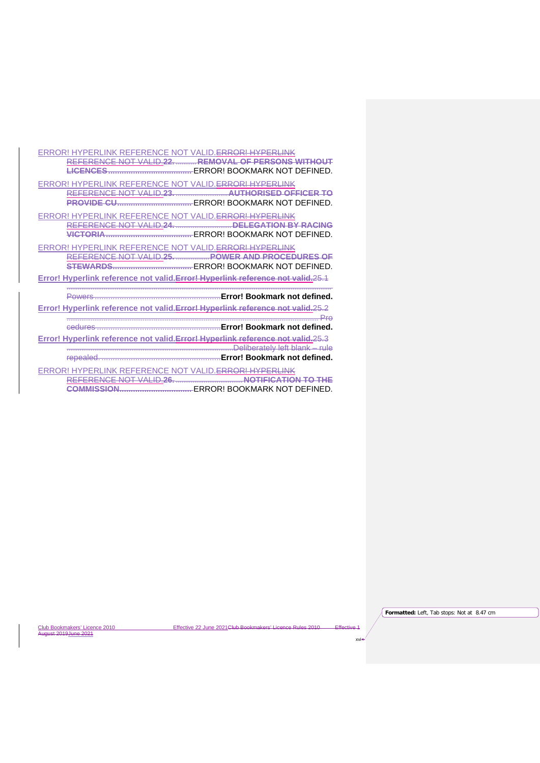ERROR! HYPERLINK REFERENCE NOT VALID.ERROR! HYPERLINK REFERENCE NOT VALID.**22.** ........... **REMOVAL OF PERSONS WITHOUT LICENCES.....................................** ERROR! BOOKMARK NOT DEFINED. ERROR! HYPERLINK REFERENCE NOT VALID.ERROR! HYPERLINK REFERENCE NOT VALID.**23.** ............................**AUTHORISED OFFICER TO PROVIDE CU.................................** ERROR! BOOKMARK NOT DEFINED. ERROR! HYPERLINK REFERENCE NOT VALID.ERROR! HYPERLINK **REFERENCE NOT VALID.24. ..................... VICTORIA......................................** ERROR! BOOKMARK NOT DEFINED. ERROR! HYPERLINK REFERENCE NOT VALID.ERROR! HYPERLINK REFERENCE NOT VALID.**25.** ..................**POWER AND PROCEDURES OF STEWARDS...................................** ERROR! BOOKMARK NOT DEFINED. **Error! Hyperlink reference not valid.Error! Hyperlink reference not valid.**25.1 ............................................................................................................................................... Powers ........................................................**Error! Bookmark not defined. Error! Hyperlink reference not valid.Error! Hyperlink reference not valid.**25.2 ........................................................................................................................................ Pro cedures .......................................................**Error! Bookmark not defined. Error! Hyperlink reference not valid.Error! Hyperlink reference not valid.**25.3 ..........................................................................................Deliberately left blank – rule repealed. .....................................................**Error! Bookmark not defined.**

ERROR! HYPERLINK REFERENCE NOT VALID.ERROR! HYPERLINK REFERENCE NOT VALID.**26.** ....................................**NOTIFICATION TO THE COMMISSION................................** ERROR! BOOKMARK NOT DEFINED.

Club Bookmakers' Licence 2010 **Effective 22 June 2021Club Bookmakers' Licence Rules 2010** 

**Formatted:** Left, Tab stops: Not at 8.47 cm

xvi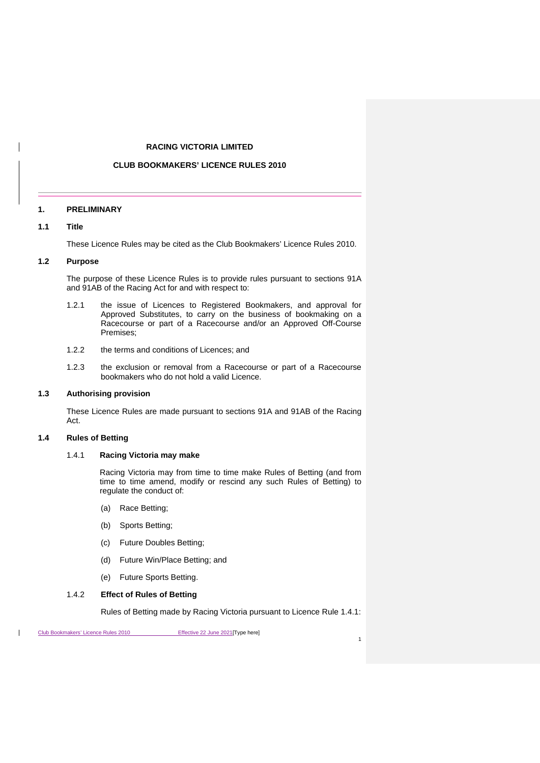## **RACING VICTORIA LIMITED**

# **CLUB BOOKMAKERS' LICENCE RULES 2010**

# <span id="page-17-0"></span>**1. PRELIMINARY**

# <span id="page-17-1"></span>**1.1 Title**

These Licence Rules may be cited as the Club Bookmakers' Licence Rules 2010.

## <span id="page-17-2"></span>**1.2 Purpose**

The purpose of these Licence Rules is to provide rules pursuant to sections 91A and 91AB of the Racing Act for and with respect to:

- 1.2.1 the issue of Licences to Registered Bookmakers, and approval for Approved Substitutes, to carry on the business of bookmaking on a Racecourse or part of a Racecourse and/or an Approved Off-Course Premises;
- 1.2.2 the terms and conditions of Licences; and
- 1.2.3 the exclusion or removal from a Racecourse or part of a Racecourse bookmakers who do not hold a valid Licence.

#### <span id="page-17-3"></span>**1.3 Authorising provision**

These Licence Rules are made pursuant to sections 91A and 91AB of the Racing Act.

# <span id="page-17-5"></span><span id="page-17-4"></span>**1.4 Rules of Betting**

## 1.4.1 **Racing Victoria may make**

Racing Victoria may from time to time make Rules of Betting (and from time to time amend, modify or rescind any such Rules of Betting) to regulate the conduct of:

- (a) Race Betting;
- (b) Sports Betting;
- (c) Future Doubles Betting;
- (d) Future Win/Place Betting; and
- (e) Future Sports Betting.

#### 1.4.2 **Effect of Rules of Betting**

Rules of Betting made by Racing Victoria pursuant to Licence Rule [1.4.1:](#page-17-5)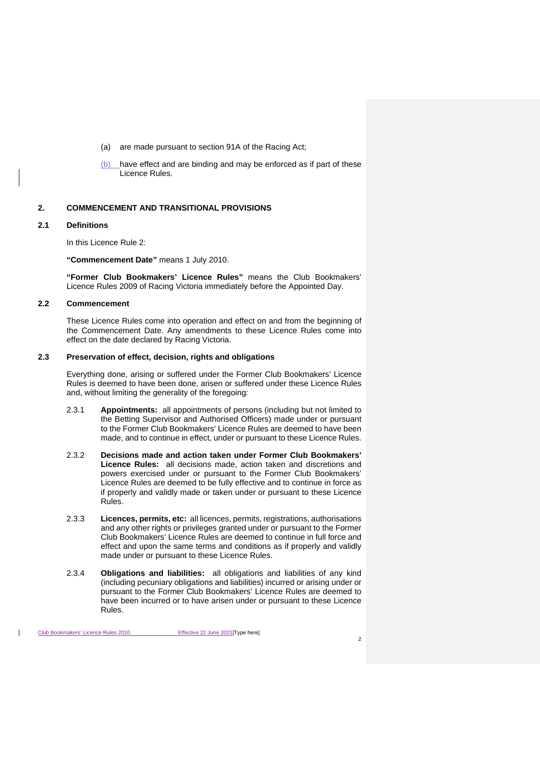- (a) are made pursuant to section 91A of the Racing Act;
- (b) have effect and are binding and may be enforced as if part of these Licence Rules.

## <span id="page-18-4"></span><span id="page-18-0"></span>**2. COMMENCEMENT AND TRANSITIONAL PROVISIONS**

#### <span id="page-18-1"></span>**2.1 Definitions**

In this Licence Rule [2:](#page-18-4)

**"Commencement Date"** means 1 July 2010.

**"Former Club Bookmakers' Licence Rules"** means the Club Bookmakers' Licence Rules 2009 of Racing Victoria immediately before the Appointed Day.

# <span id="page-18-2"></span>**2.2 Commencement**

These Licence Rules come into operation and effect on and from the beginning of the Commencement Date. Any amendments to these Licence Rules come into effect on the date declared by Racing Victoria.

#### <span id="page-18-3"></span>**2.3 Preservation of effect, decision, rights and obligations**

Everything done, arising or suffered under the Former Club Bookmakers' Licence Rules is deemed to have been done, arisen or suffered under these Licence Rules and, without limiting the generality of the foregoing:

- 2.3.1 **Appointments:** all appointments of persons (including but not limited to the Betting Supervisor and Authorised Officers) made under or pursuant to the Former Club Bookmakers' Licence Rules are deemed to have been made, and to continue in effect, under or pursuant to these Licence Rules.
- 2.3.2 **Decisions made and action taken under Former Club Bookmakers' Licence Rules:** all decisions made, action taken and discretions and powers exercised under or pursuant to the Former Club Bookmakers' Licence Rules are deemed to be fully effective and to continue in force as if properly and validly made or taken under or pursuant to these Licence Rules.
- 2.3.3 **Licences, permits, etc:** all licences, permits, registrations, authorisations and any other rights or privileges granted under or pursuant to the Former Club Bookmakers' Licence Rules are deemed to continue in full force and effect and upon the same terms and conditions as if properly and validly made under or pursuant to these Licence Rules.
- 2.3.4 **Obligations and liabilities:** all obligations and liabilities of any kind (including pecuniary obligations and liabilities) incurred or arising under or pursuant to the Former Club Bookmakers' Licence Rules are deemed to have been incurred or to have arisen under or pursuant to these Licence Rules.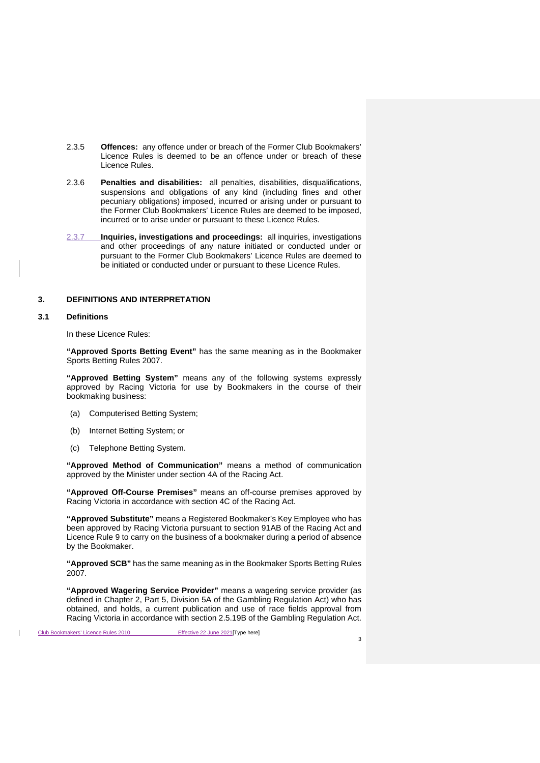- 2.3.5 **Offences:** any offence under or breach of the Former Club Bookmakers' Licence Rules is deemed to be an offence under or breach of these Licence Rules.
- 2.3.6 **Penalties and disabilities:** all penalties, disabilities, disqualifications, suspensions and obligations of any kind (including fines and other pecuniary obligations) imposed, incurred or arising under or pursuant to the Former Club Bookmakers' Licence Rules are deemed to be imposed, incurred or to arise under or pursuant to these Licence Rules.
- 2.3.7 **Inquiries, investigations and proceedings:** all inquiries, investigations and other proceedings of any nature initiated or conducted under or pursuant to the Former Club Bookmakers' Licence Rules are deemed to be initiated or conducted under or pursuant to these Licence Rules.

# <span id="page-19-0"></span>**3. DEFINITIONS AND INTERPRETATION**

# <span id="page-19-1"></span>**3.1 Definitions**

In these Licence Rules:

**"Approved Sports Betting Event"** has the same meaning as in the Bookmaker Sports Betting Rules 2007.

**"Approved Betting System"** means any of the following systems expressly approved by Racing Victoria for use by Bookmakers in the course of their bookmaking business:

- (a) Computerised Betting System;
- (b) Internet Betting System; or
- (c) Telephone Betting System.

**"Approved Method of Communication"** means a method of communication approved by the Minister under section 4A of the Racing Act.

**"Approved Off-Course Premises"** means an off-course premises approved by Racing Victoria in accordance with section 4C of the Racing Act.

**"Approved Substitute"** means a Registered Bookmaker's Key Employee who has been approved by Racing Victoria pursuant to section 91AB of the Racing Act and Licence Rule [9](#page-29-7) to carry on the business of a bookmaker during a period of absence by the Bookmaker.

**"Approved SCB"** has the same meaning as in the Bookmaker Sports Betting Rules 2007.

**"Approved Wagering Service Provider"** means a wagering service provider (as defined in Chapter 2, Part 5, Division 5A of the Gambling Regulation Act) who has obtained, and holds, a current publication and use of race fields approval from Racing Victoria in accordance with section 2.5.19B of the Gambling Regulation Act.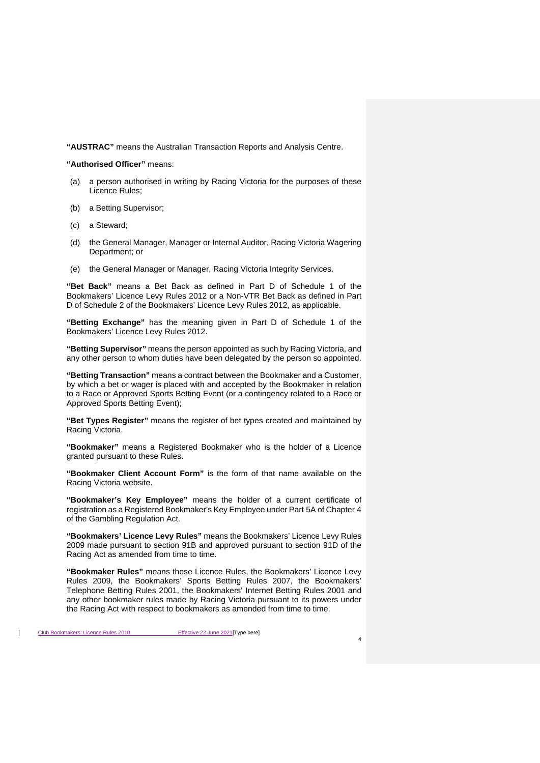**"AUSTRAC"** means the Australian Transaction Reports and Analysis Centre.

#### **"Authorised Officer"** means:

- (a) a person authorised in writing by Racing Victoria for the purposes of these Licence Rules;
- (b) a Betting Supervisor;
- (c) a Steward;
- (d) the General Manager, Manager or Internal Auditor, Racing Victoria Wagering Department; or
- (e) the General Manager or Manager, Racing Victoria Integrity Services.

**"Bet Back"** means a Bet Back as defined in Part D of Schedule 1 of the Bookmakers' Licence Levy Rules 2012 or a Non-VTR Bet Back as defined in Part D of Schedule 2 of the Bookmakers' Licence Levy Rules 2012, as applicable.

**"Betting Exchange"** has the meaning given in Part D of Schedule 1 of the Bookmakers' Licence Levy Rules 2012.

**"Betting Supervisor"** means the person appointed as such by Racing Victoria, and any other person to whom duties have been delegated by the person so appointed.

**"Betting Transaction"** means a contract between the Bookmaker and a Customer, by which a bet or wager is placed with and accepted by the Bookmaker in relation to a Race or Approved Sports Betting Event (or a contingency related to a Race or Approved Sports Betting Event);

**"Bet Types Register"** means the register of bet types created and maintained by Racing Victoria.

**"Bookmaker"** means a Registered Bookmaker who is the holder of a Licence granted pursuant to these Rules.

**"Bookmaker Client Account Form"** is the form of that name available on the Racing Victoria website.

**"Bookmaker's Key Employee"** means the holder of a current certificate of registration as a Registered Bookmaker's Key Employee under Part 5A of Chapter 4 of the Gambling Regulation Act.

**"Bookmakers' Licence Levy Rules"** means the Bookmakers' Licence Levy Rules 2009 made pursuant to section 91B and approved pursuant to section 91D of the Racing Act as amended from time to time.

**"Bookmaker Rules"** means these Licence Rules, the Bookmakers' Licence Levy Rules 2009, the Bookmakers' Sports Betting Rules 2007, the Bookmakers' Telephone Betting Rules 2001, the Bookmakers' Internet Betting Rules 2001 and any other bookmaker rules made by Racing Victoria pursuant to its powers under the Racing Act with respect to bookmakers as amended from time to time.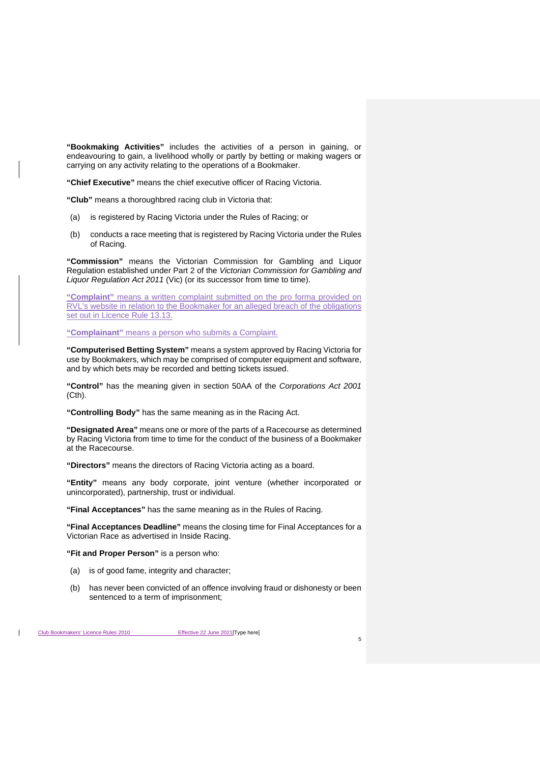**"Bookmaking Activities"** includes the activities of a person in gaining, or endeavouring to gain, a livelihood wholly or partly by betting or making wagers or carrying on any activity relating to the operations of a Bookmaker.

**"Chief Executive"** means the chief executive officer of Racing Victoria.

**"Club"** means a thoroughbred racing club in Victoria that:

- (a) is registered by Racing Victoria under the Rules of Racing; or
- (b) conducts a race meeting that is registered by Racing Victoria under the Rules of Racing.

**"Commission"** means the Victorian Commission for Gambling and Liquor Regulation established under Part 2 of the *Victorian Commission for Gambling and Liquor Regulation Act 2011* (Vic) (or its successor from time to time).

**"Complaint"** means a written complaint submitted on the pro forma provided on RVL's website in relation to the Bookmaker for an alleged breach of the obligations set out in Licence Rule [13.13.](#page-37-0)

**"Complainant"** means a person who submits a Complaint.

**"Computerised Betting System"** means a system approved by Racing Victoria for use by Bookmakers, which may be comprised of computer equipment and software, and by which bets may be recorded and betting tickets issued.

**"Control"** has the meaning given in section 50AA of the *Corporations Act 2001* (Cth).

**"Controlling Body"** has the same meaning as in the Racing Act.

**"Designated Area"** means one or more of the parts of a Racecourse as determined by Racing Victoria from time to time for the conduct of the business of a Bookmaker at the Racecourse.

**"Directors"** means the directors of Racing Victoria acting as a board.

**"Entity"** means any body corporate, joint venture (whether incorporated or unincorporated), partnership, trust or individual.

**"Final Acceptances"** has the same meaning as in the Rules of Racing.

**"Final Acceptances Deadline"** means the closing time for Final Acceptances for a Victorian Race as advertised in Inside Racing.

**"Fit and Proper Person"** is a person who:

- (a) is of good fame, integrity and character;
- (b) has never been convicted of an offence involving fraud or dishonesty or been sentenced to a term of imprisonment;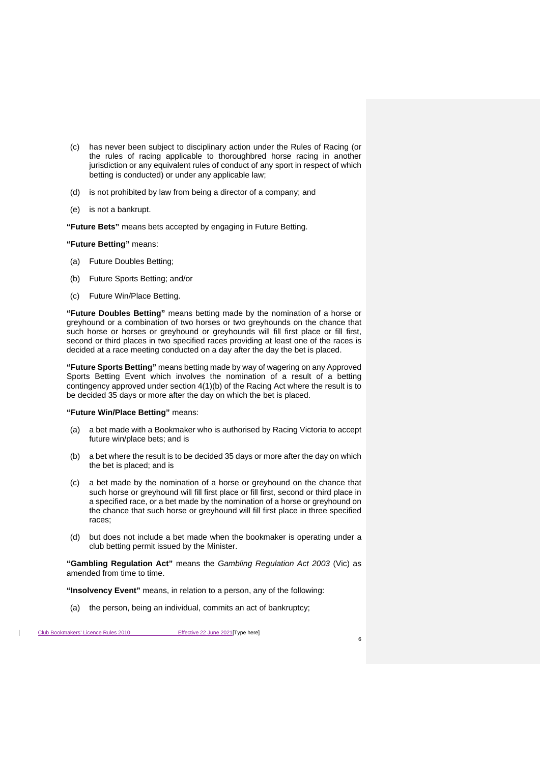- (c) has never been subject to disciplinary action under the Rules of Racing (or the rules of racing applicable to thoroughbred horse racing in another jurisdiction or any equivalent rules of conduct of any sport in respect of which betting is conducted) or under any applicable law;
- (d) is not prohibited by law from being a director of a company; and
- (e) is not a bankrupt.

**"Future Bets"** means bets accepted by engaging in Future Betting.

#### **"Future Betting"** means:

- (a) Future Doubles Betting;
- (b) Future Sports Betting; and/or
- (c) Future Win/Place Betting.

**"Future Doubles Betting"** means betting made by the nomination of a horse or greyhound or a combination of two horses or two greyhounds on the chance that such horse or horses or greyhound or greyhounds will fill first place or fill first, second or third places in two specified races providing at least one of the races is decided at a race meeting conducted on a day after the day the bet is placed.

**"Future Sports Betting"** means betting made by way of wagering on any Approved Sports Betting Event which involves the nomination of a result of a betting contingency approved under section 4(1)(b) of the Racing Act where the result is to be decided 35 days or more after the day on which the bet is placed.

#### **"Future Win/Place Betting"** means:

- (a) a bet made with a Bookmaker who is authorised by Racing Victoria to accept future win/place bets; and is
- (b) a bet where the result is to be decided 35 days or more after the day on which the bet is placed; and is
- (c) a bet made by the nomination of a horse or greyhound on the chance that such horse or greyhound will fill first place or fill first, second or third place in a specified race, or a bet made by the nomination of a horse or greyhound on the chance that such horse or greyhound will fill first place in three specified races;
- (d) but does not include a bet made when the bookmaker is operating under a club betting permit issued by the Minister.

**"Gambling Regulation Act"** means the *Gambling Regulation Act 2003* (Vic) as amended from time to time.

**"Insolvency Event"** means, in relation to a person, any of the following:

(a) the person, being an individual, commits an act of bankruptcy;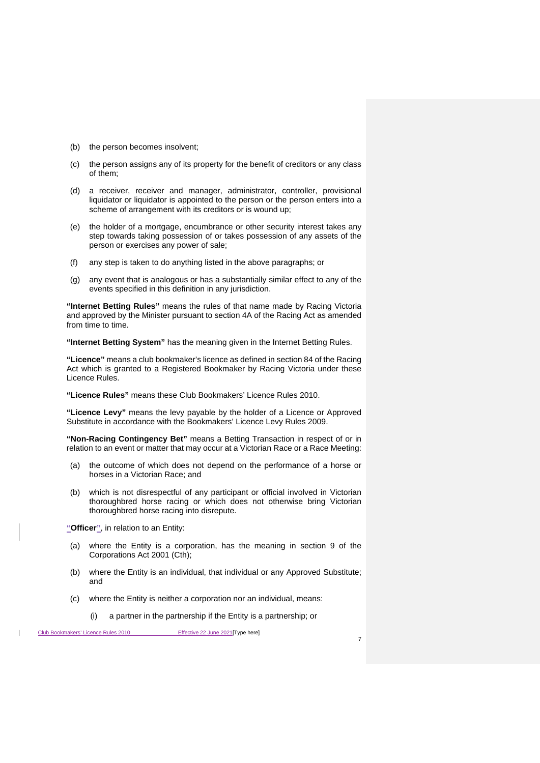- (b) the person becomes insolvent;
- (c) the person assigns any of its property for the benefit of creditors or any class of them;
- (d) a receiver, receiver and manager, administrator, controller, provisional liquidator or liquidator is appointed to the person or the person enters into a scheme of arrangement with its creditors or is wound up;
- (e) the holder of a mortgage, encumbrance or other security interest takes any step towards taking possession of or takes possession of any assets of the person or exercises any power of sale;
- (f) any step is taken to do anything listed in the above paragraphs; or
- (g) any event that is analogous or has a substantially similar effect to any of the events specified in this definition in any jurisdiction.

**"Internet Betting Rules"** means the rules of that name made by Racing Victoria and approved by the Minister pursuant to section 4A of the Racing Act as amended from time to time.

**"Internet Betting System"** has the meaning given in the Internet Betting Rules.

**"Licence"** means a club bookmaker's licence as defined in section 84 of the Racing Act which is granted to a Registered Bookmaker by Racing Victoria under these Licence Rules.

**"Licence Rules"** means these Club Bookmakers' Licence Rules 2010.

**"Licence Levy"** means the levy payable by the holder of a Licence or Approved Substitute in accordance with the Bookmakers' Licence Levy Rules 2009.

**"Non-Racing Contingency Bet"** means a Betting Transaction in respect of or in relation to an event or matter that may occur at a Victorian Race or a Race Meeting:

- (a) the outcome of which does not depend on the performance of a horse or horses in a Victorian Race; and
- (b) which is not disrespectful of any participant or official involved in Victorian thoroughbred horse racing or which does not otherwise bring Victorian thoroughbred horse racing into disrepute.

**"Officer"**, in relation to an Entity:

- (a) where the Entity is a corporation, has the meaning in section 9 of the Corporations Act 2001 (Cth);
- (b) where the Entity is an individual, that individual or any Approved Substitute; and
- (c) where the Entity is neither a corporation nor an individual, means:
	- (i) a partner in the partnership if the Entity is a partnership; or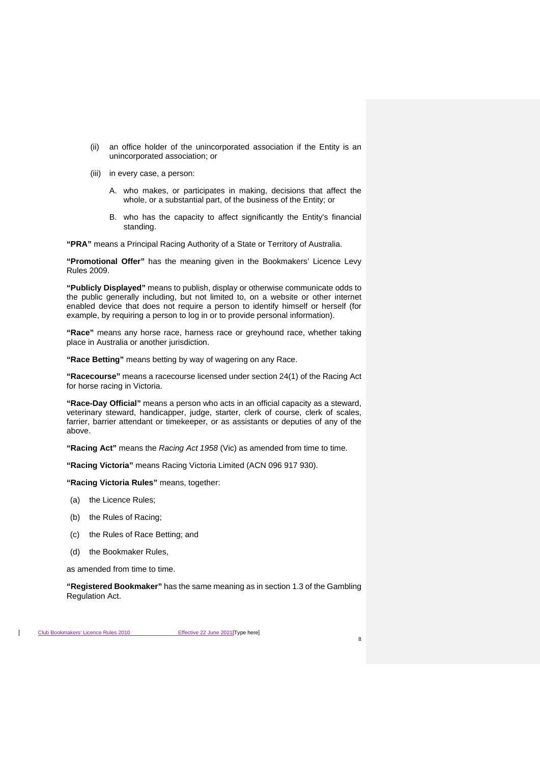- (ii) an office holder of the unincorporated association if the Entity is an unincorporated association; or
- (iii) in every case, a person:
	- A. who makes, or participates in making, decisions that affect the whole, or a substantial part, of the business of the Entity; or
	- B. who has the capacity to affect significantly the Entity's financial standing.

**"PRA"** means a Principal Racing Authority of a State or Territory of Australia.

**"Promotional Offer"** has the meaning given in the Bookmakers' Licence Levy Rules 2009.

**"Publicly Displayed"** means to publish, display or otherwise communicate odds to the public generally including, but not limited to, on a website or other internet enabled device that does not require a person to identify himself or herself (for example, by requiring a person to log in or to provide personal information).

**"Race"** means any horse race, harness race or greyhound race, whether taking place in Australia or another jurisdiction.

**"Race Betting"** means betting by way of wagering on any Race.

**"Racecourse"** means a racecourse licensed under section 24(1) of the Racing Act for horse racing in Victoria.

**"Race-Day Official"** means a person who acts in an official capacity as a steward, veterinary steward, handicapper, judge, starter, clerk of course, clerk of scales, farrier, barrier attendant or timekeeper, or as assistants or deputies of any of the above.

**"Racing Act"** means the *Racing Act 1958* (Vic) as amended from time to time.

**"Racing Victoria"** means Racing Victoria Limited (ACN 096 917 930).

**"Racing Victoria Rules"** means, together:

- (a) the Licence Rules;
- (b) the Rules of Racing;
- (c) the Rules of Race Betting; and
- (d) the Bookmaker Rules,

as amended from time to time.

**"Registered Bookmaker"** has the same meaning as in section 1.3 of the Gambling Regulation Act.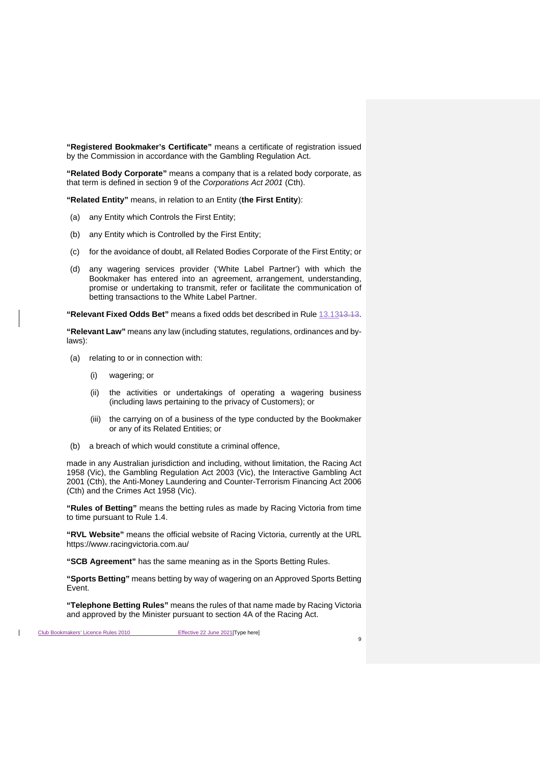**"Registered Bookmaker's Certificate"** means a certificate of registration issued by the Commission in accordance with the Gambling Regulation Act.

**"Related Body Corporate"** means a company that is a related body corporate, as that term is defined in section 9 of the *Corporations Act 2001* (Cth).

**"Related Entity"** means, in relation to an Entity (**the First Entity**):

- (a) any Entity which Controls the First Entity;
- (b) any Entity which is Controlled by the First Entity;
- (c) for the avoidance of doubt, all Related Bodies Corporate of the First Entity; or
- (d) any wagering services provider ('White Label Partner') with which the Bookmaker has entered into an agreement, arrangement, understanding, promise or undertaking to transmit, refer or facilitate the communication of betting transactions to the White Label Partner.

**"Relevant Fixed Odds Bet"** means a fixed odds bet described in Rule [13.131](#page-37-0)3.13.

**"Relevant Law"** means any law (including statutes, regulations, ordinances and bylaws):

- (a) relating to or in connection with:
	- (i) wagering; or
	- (ii) the activities or undertakings of operating a wagering business (including laws pertaining to the privacy of Customers); or
	- (iii) the carrying on of a business of the type conducted by the Bookmaker or any of its Related Entities; or
- (b) a breach of which would constitute a criminal offence,

made in any Australian jurisdiction and including, without limitation, the Racing Act 1958 (Vic), the Gambling Regulation Act 2003 (Vic), the Interactive Gambling Act 2001 (Cth), the Anti-Money Laundering and Counter-Terrorism Financing Act 2006 (Cth) and the Crimes Act 1958 (Vic).

**"Rules of Betting"** means the betting rules as made by Racing Victoria from time to time pursuant to Rule [1.4.](#page-17-4)

**"RVL Website"** means the official website of Racing Victoria, currently at the URL https://www.racingvictoria.com.au/

**"SCB Agreement"** has the same meaning as in the Sports Betting Rules.

**"Sports Betting"** means betting by way of wagering on an Approved Sports Betting Event.

**"Telephone Betting Rules"** means the rules of that name made by Racing Victoria and approved by the Minister pursuant to section 4A of the Racing Act.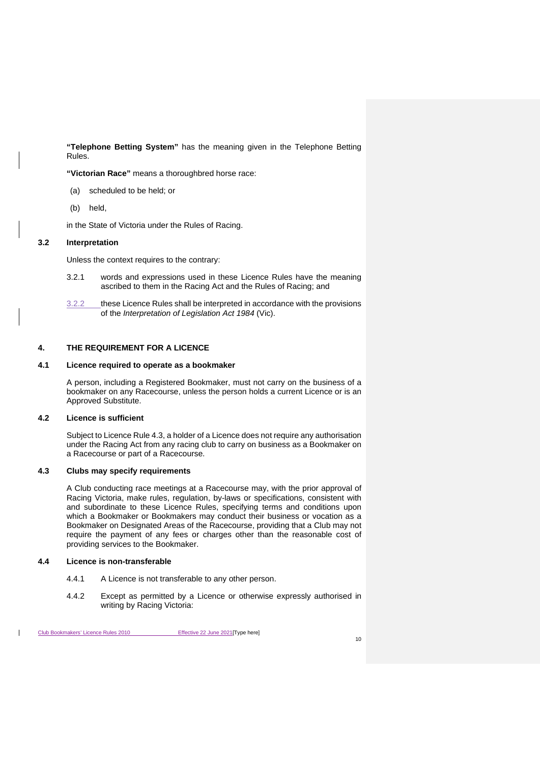**"Telephone Betting System"** has the meaning given in the Telephone Betting Rules.

**"Victorian Race"** means a thoroughbred horse race:

- (a) scheduled to be held; or
- (b) held,

in the State of Victoria under the Rules of Racing.

# <span id="page-26-0"></span>**3.2 Interpretation**

Unless the context requires to the contrary:

- 3.2.1 words and expressions used in these Licence Rules have the meaning ascribed to them in the Racing Act and the Rules of Racing; and
- 3.2.2 these Licence Rules shall be interpreted in accordance with the provisions of the *Interpretation of Legislation Act 1984* (Vic).

# <span id="page-26-1"></span>**4. THE REQUIREMENT FOR A LICENCE**

# <span id="page-26-2"></span>**4.1 Licence required to operate as a bookmaker**

A person, including a Registered Bookmaker, must not carry on the business of a bookmaker on any Racecourse, unless the person holds a current Licence or is an Approved Substitute.

#### <span id="page-26-3"></span>**4.2 Licence is sufficient**

Subject to Licence Rul[e 4.3,](#page-26-4) a holder of a Licence does not require any authorisation under the Racing Act from any racing club to carry on business as a Bookmaker on a Racecourse or part of a Racecourse.

# <span id="page-26-4"></span>**4.3 Clubs may specify requirements**

A Club conducting race meetings at a Racecourse may, with the prior approval of Racing Victoria, make rules, regulation, by-laws or specifications, consistent with and subordinate to these Licence Rules, specifying terms and conditions upon which a Bookmaker or Bookmakers may conduct their business or vocation as a Bookmaker on Designated Areas of the Racecourse, providing that a Club may not require the payment of any fees or charges other than the reasonable cost of providing services to the Bookmaker.

# <span id="page-26-5"></span>**4.4 Licence is non-transferable**

- 4.4.1 A Licence is not transferable to any other person.
- 4.4.2 Except as permitted by a Licence or otherwise expressly authorised in writing by Racing Victoria: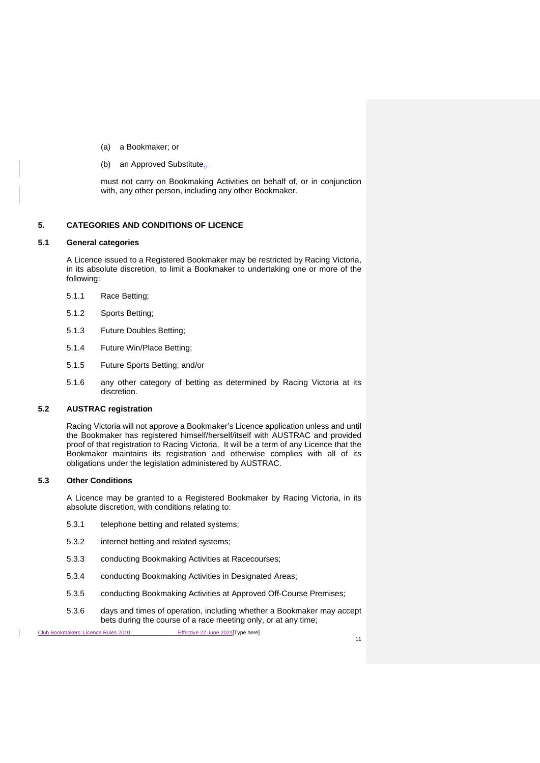- (a) a Bookmaker; or
- (b) an Approved Substitute,;

must not carry on Bookmaking Activities on behalf of, or in conjunction with, any other person, including any other Bookmaker.

# <span id="page-27-0"></span>**5. CATEGORIES AND CONDITIONS OF LICENCE**

# <span id="page-27-1"></span>**5.1 General categories**

A Licence issued to a Registered Bookmaker may be restricted by Racing Victoria, in its absolute discretion, to limit a Bookmaker to undertaking one or more of the following:

- 5.1.1 Race Betting;
- 5.1.2 Sports Betting;
- 5.1.3 Future Doubles Betting;
- 5.1.4 Future Win/Place Betting;
- 5.1.5 Future Sports Betting; and/or
- 5.1.6 any other category of betting as determined by Racing Victoria at its discretion.

#### <span id="page-27-2"></span>**5.2 AUSTRAC registration**

Racing Victoria will not approve a Bookmaker's Licence application unless and until the Bookmaker has registered himself/herself/itself with AUSTRAC and provided proof of that registration to Racing Victoria. It will be a term of any Licence that the Bookmaker maintains its registration and otherwise complies with all of its obligations under the legislation administered by AUSTRAC.

#### <span id="page-27-3"></span>**5.3 Other Conditions**

A Licence may be granted to a Registered Bookmaker by Racing Victoria, in its absolute discretion, with conditions relating to:

- 5.3.1 telephone betting and related systems;
- 5.3.2 internet betting and related systems;
- 5.3.3 conducting Bookmaking Activities at Racecourses;
- 5.3.4 conducting Bookmaking Activities in Designated Areas;
- 5.3.5 conducting Bookmaking Activities at Approved Off-Course Premises;
- 5.3.6 days and times of operation, including whether a Bookmaker may accept bets during the course of a race meeting only, or at any time;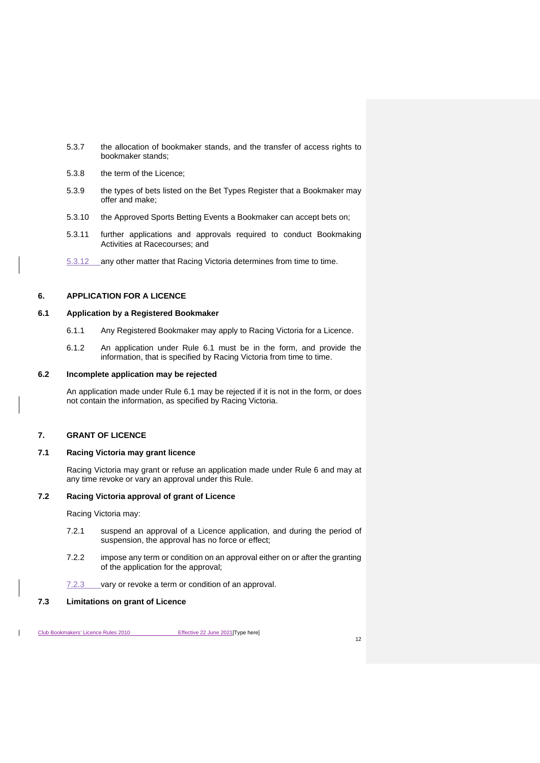- 5.3.7 the allocation of bookmaker stands, and the transfer of access rights to bookmaker stands;
- 5.3.8 the term of the Licence;
- 5.3.9 the types of bets listed on the Bet Types Register that a Bookmaker may offer and make;
- 5.3.10 the Approved Sports Betting Events a Bookmaker can accept bets on;
- 5.3.11 further applications and approvals required to conduct Bookmaking Activities at Racecourses; and
- 5.3.12 any other matter that Racing Victoria determines from time to time.

# <span id="page-28-7"></span><span id="page-28-0"></span>**6. APPLICATION FOR A LICENCE**

# <span id="page-28-1"></span>**6.1 Application by a Registered Bookmaker**

- 6.1.1 Any Registered Bookmaker may apply to Racing Victoria for a Licence.
- 6.1.2 An application under Rule [6.1](#page-28-1) must be in the form, and provide the information, that is specified by Racing Victoria from time to time.

## <span id="page-28-2"></span>**6.2 Incomplete application may be rejected**

An application made under Rule [6.1](#page-28-1) may be rejected if it is not in the form, or does not contain the information, as specified by Racing Victoria.

# <span id="page-28-3"></span>**7. GRANT OF LICENCE**

# <span id="page-28-4"></span>**7.1 Racing Victoria may grant licence**

Racing Victoria may grant or refuse an application made under Rule [6](#page-28-7) and may at any time revoke or vary an approval under this Rule.

# <span id="page-28-5"></span>**7.2 Racing Victoria approval of grant of Licence**

Racing Victoria may:

- 7.2.1 suspend an approval of a Licence application, and during the period of suspension, the approval has no force or effect;
- 7.2.2 impose any term or condition on an approval either on or after the granting of the application for the approval;
- 7.2.3 vary or revoke a term or condition of an approval.

# <span id="page-28-6"></span>**7.3 Limitations on grant of Licence**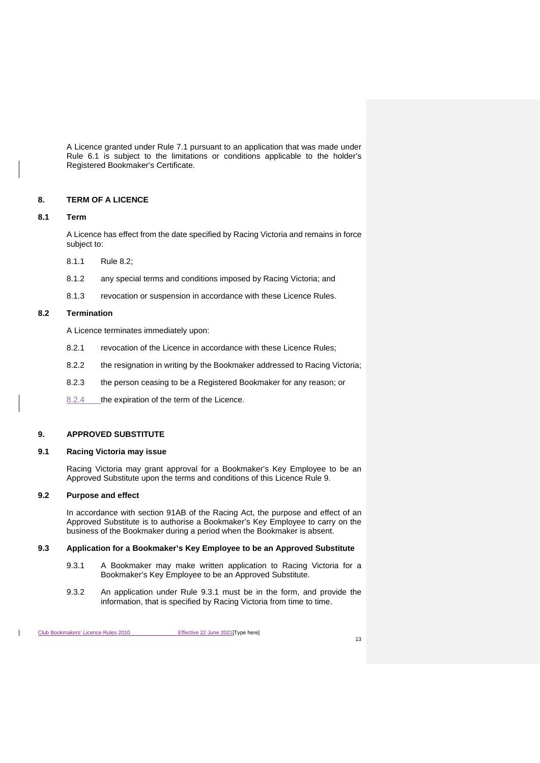A Licence granted under Rule [7.1](#page-28-4) pursuant to an application that was made under Rule [6.1](#page-28-1) is subject to the limitations or conditions applicable to the holder's Registered Bookmaker's Certificate.

# <span id="page-29-0"></span>**8. TERM OF A LICENCE**

## <span id="page-29-1"></span>**8.1 Term**

A Licence has effect from the date specified by Racing Victoria and remains in force subject to:

- 8.1.1 Rule [8.2;](#page-29-2)
- 8.1.2 any special terms and conditions imposed by Racing Victoria; and
- 8.1.3 revocation or suspension in accordance with these Licence Rules.

# <span id="page-29-2"></span>**8.2 Termination**

A Licence terminates immediately upon:

- 8.2.1 revocation of the Licence in accordance with these Licence Rules;
- 8.2.2 the resignation in writing by the Bookmaker addressed to Racing Victoria;
- 8.2.3 the person ceasing to be a Registered Bookmaker for any reason; or
- 8.2.4 the expiration of the term of the Licence.

# <span id="page-29-7"></span><span id="page-29-3"></span>**9. APPROVED SUBSTITUTE**

#### <span id="page-29-4"></span>**9.1 Racing Victoria may issue**

Racing Victoria may grant approval for a Bookmaker's Key Employee to be an Approved Substitute upon the terms and conditions of this Licence Rule [9.](#page-29-7)

#### <span id="page-29-5"></span>**9.2 Purpose and effect**

In accordance with section 91AB of the Racing Act, the purpose and effect of an Approved Substitute is to authorise a Bookmaker's Key Employee to carry on the business of the Bookmaker during a period when the Bookmaker is absent.

#### <span id="page-29-8"></span><span id="page-29-6"></span>**9.3 Application for a Bookmaker's Key Employee to be an Approved Substitute**

- 9.3.1 A Bookmaker may make written application to Racing Victoria for a Bookmaker's Key Employee to be an Approved Substitute.
- 9.3.2 An application under Rule [9.3.1](#page-29-8) must be in the form, and provide the information, that is specified by Racing Victoria from time to time.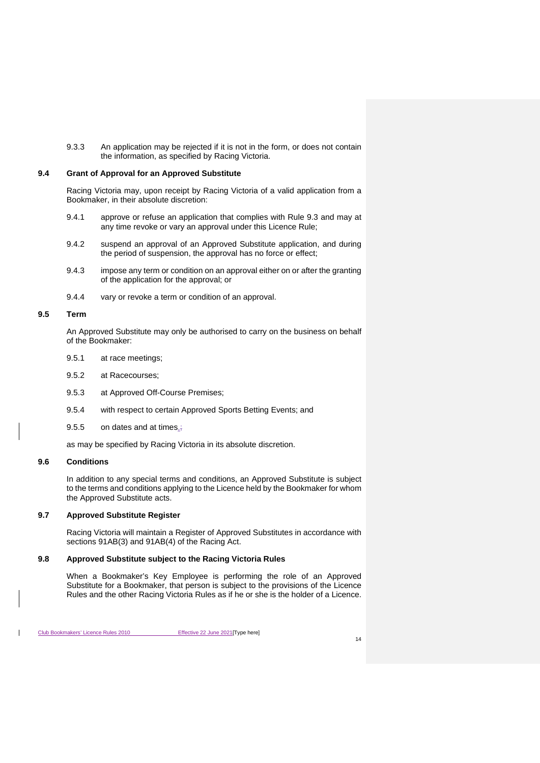9.3.3 An application may be rejected if it is not in the form, or does not contain the information, as specified by Racing Victoria.

# <span id="page-30-0"></span>**9.4 Grant of Approval for an Approved Substitute**

Racing Victoria may, upon receipt by Racing Victoria of a valid application from a Bookmaker, in their absolute discretion:

- 9.4.1 approve or refuse an application that complies with Rule [9.3](#page-29-6) and may at any time revoke or vary an approval under this Licence Rule;
- 9.4.2 suspend an approval of an Approved Substitute application, and during the period of suspension, the approval has no force or effect;
- 9.4.3 impose any term or condition on an approval either on or after the granting of the application for the approval; or
- 9.4.4 vary or revoke a term or condition of an approval.

## <span id="page-30-1"></span>**9.5 Term**

An Approved Substitute may only be authorised to carry on the business on behalf of the Bookmaker:

- 9.5.1 at race meetings;
- 9.5.2 at Racecourses;
- 9.5.3 at Approved Off-Course Premises;
- 9.5.4 with respect to certain Approved Sports Betting Events; and
- 9.5.5 on dates and at times,

as may be specified by Racing Victoria in its absolute discretion.

# <span id="page-30-2"></span>**9.6 Conditions**

In addition to any special terms and conditions, an Approved Substitute is subject to the terms and conditions applying to the Licence held by the Bookmaker for whom the Approved Substitute acts.

# <span id="page-30-3"></span>**9.7 Approved Substitute Register**

Racing Victoria will maintain a Register of Approved Substitutes in accordance with sections 91AB(3) and 91AB(4) of the Racing Act.

## <span id="page-30-4"></span>**9.8 Approved Substitute subject to the Racing Victoria Rules**

When a Bookmaker's Key Employee is performing the role of an Approved Substitute for a Bookmaker, that person is subject to the provisions of the Licence Rules and the other Racing Victoria Rules as if he or she is the holder of a Licence.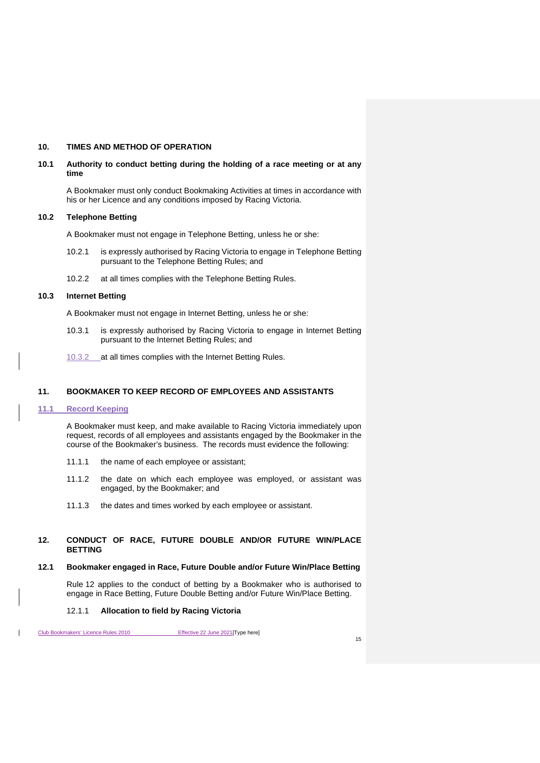## <span id="page-31-0"></span>**10. TIMES AND METHOD OF OPERATION**

## <span id="page-31-1"></span>**10.1 Authority to conduct betting during the holding of a race meeting or at any time**

A Bookmaker must only conduct Bookmaking Activities at times in accordance with his or her Licence and any conditions imposed by Racing Victoria.

# <span id="page-31-2"></span>**10.2 Telephone Betting**

A Bookmaker must not engage in Telephone Betting, unless he or she:

- 10.2.1 is expressly authorised by Racing Victoria to engage in Telephone Betting pursuant to the Telephone Betting Rules; and
- 10.2.2 at all times complies with the Telephone Betting Rules.

# <span id="page-31-3"></span>**10.3 Internet Betting**

A Bookmaker must not engage in Internet Betting, unless he or she:

- 10.3.1 is expressly authorised by Racing Victoria to engage in Internet Betting pursuant to the Internet Betting Rules; and
- 10.3.2 \_\_ at all times complies with the Internet Betting Rules.

## <span id="page-31-4"></span>**11. BOOKMAKER TO KEEP RECORD OF EMPLOYEES AND ASSISTANTS**

#### <span id="page-31-5"></span>**11.1 Record Keeping**

A Bookmaker must keep, and make available to Racing Victoria immediately upon request, records of all employees and assistants engaged by the Bookmaker in the course of the Bookmaker's business. The records must evidence the following:

- 11.1.1 the name of each employee or assistant;
- 11.1.2 the date on which each employee was employed, or assistant was engaged, by the Bookmaker; and
- 11.1.3 the dates and times worked by each employee or assistant.

## <span id="page-31-8"></span><span id="page-31-6"></span>**12. CONDUCT OF RACE, FUTURE DOUBLE AND/OR FUTURE WIN/PLACE BETTING**

#### <span id="page-31-7"></span>**12.1 Bookmaker engaged in Race, Future Double and/or Future Win/Place Betting**

Rule [12](#page-31-8) applies to the conduct of betting by a Bookmaker who is authorised to engage in Race Betting, Future Double Betting and/or Future Win/Place Betting.

#### 12.1.1 **Allocation to field by Racing Victoria**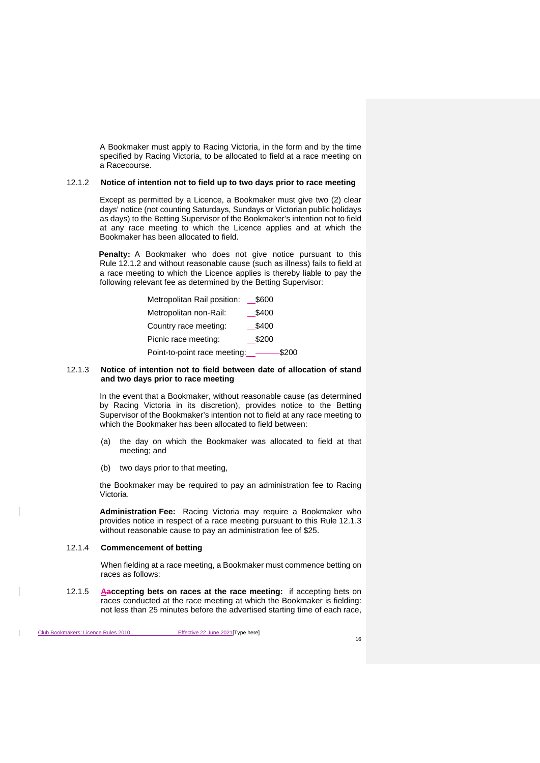A Bookmaker must apply to Racing Victoria, in the form and by the time specified by Racing Victoria, to be allocated to field at a race meeting on a Racecourse.

#### <span id="page-32-0"></span>12.1.2 **Notice of intention not to field up to two days prior to race meeting**

Except as permitted by a Licence, a Bookmaker must give two (2) clear days' notice (not counting Saturdays, Sundays or Victorian public holidays as days) to the Betting Supervisor of the Bookmaker's intention not to field at any race meeting to which the Licence applies and at which the Bookmaker has been allocated to field.

**Penalty:** A Bookmaker who does not give notice pursuant to this Rule [12.1.2](#page-32-0) and without reasonable cause (such as illness) fails to field at a race meeting to which the Licence applies is thereby liable to pay the following relevant fee as determined by the Betting Supervisor:

| Metropolitan Rail position:  | \$600 |
|------------------------------|-------|
| Metropolitan non-Rail:       | \$400 |
| Country race meeting:        | \$400 |
| Picnic race meeting:         | \$200 |
| Point-to-point race meeting: | \$200 |

#### <span id="page-32-1"></span>12.1.3 **Notice of intention not to field between date of allocation of stand and two days prior to race meeting**

In the event that a Bookmaker, without reasonable cause (as determined by Racing Victoria in its discretion), provides notice to the Betting Supervisor of the Bookmaker's intention not to field at any race meeting to which the Bookmaker has been allocated to field between:

- (a) the day on which the Bookmaker was allocated to field at that meeting; and
- (b) two days prior to that meeting,

the Bookmaker may be required to pay an administration fee to Racing Victoria.

**Administration Fee:** - Racing Victoria may require a Bookmaker who provides notice in respect of a race meeting pursuant to this Rule [12.1.3](#page-32-1) without reasonable cause to pay an administration fee of \$25.

#### 12.1.4 **Commencement of betting**

When fielding at a race meeting, a Bookmaker must commence betting on races as follows:

12.1.5 **Aaccepting bets on races at the race meeting:** if accepting bets on races conducted at the race meeting at which the Bookmaker is fielding: not less than 25 minutes before the advertised starting time of each race,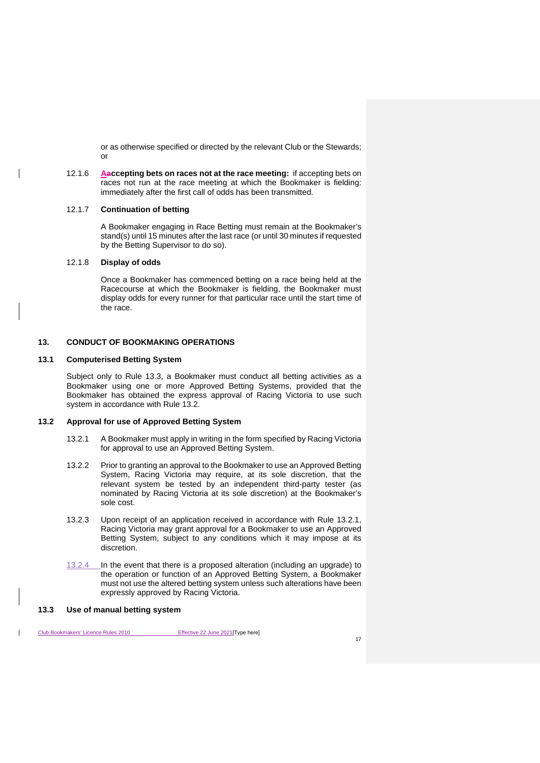or as otherwise specified or directed by the relevant Club or the Stewards; or

12.1.6 **Aaccepting bets on races not at the race meeting:** if accepting bets on races not run at the race meeting at which the Bookmaker is fielding: immediately after the first call of odds has been transmitted.

#### 12.1.7 **Continuation of betting**

A Bookmaker engaging in Race Betting must remain at the Bookmaker's stand(s) until 15 minutes after the last race (or until 30 minutes if requested by the Betting Supervisor to do so).

# 12.1.8 **Display of odds**

Once a Bookmaker has commenced betting on a race being held at the Racecourse at which the Bookmaker is fielding, the Bookmaker must display odds for every runner for that particular race until the start time of the race.

# <span id="page-33-0"></span>**13. CONDUCT OF BOOKMAKING OPERATIONS**

#### <span id="page-33-1"></span>**13.1 Computerised Betting System**

Subject only to Rule [13.3,](#page-33-3) a Bookmaker must conduct all betting activities as a Bookmaker using one or more Approved Betting Systems, provided that the Bookmaker has obtained the express approval of Racing Victoria to use such system in accordance with Rule [13.2.](#page-33-2)

#### <span id="page-33-4"></span><span id="page-33-2"></span>**13.2 Approval for use of Approved Betting System**

- 13.2.1 A Bookmaker must apply in writing in the form specified by Racing Victoria for approval to use an Approved Betting System.
- 13.2.2 Prior to granting an approval to the Bookmaker to use an Approved Betting System, Racing Victoria may require, at its sole discretion, that the relevant system be tested by an independent third-party tester (as nominated by Racing Victoria at its sole discretion) at the Bookmaker's sole cost.
- 13.2.3 Upon receipt of an application received in accordance with Rule [13.2.1,](#page-33-4) Racing Victoria may grant approval for a Bookmaker to use an Approved Betting System, subject to any conditions which it may impose at its discretion.
- 13.2.4 In the event that there is a proposed alteration (including an upgrade) to the operation or function of an Approved Betting System, a Bookmaker must not use the altered betting system unless such alterations have been expressly approved by Racing Victoria.

## <span id="page-33-3"></span>**13.3 Use of manual betting system**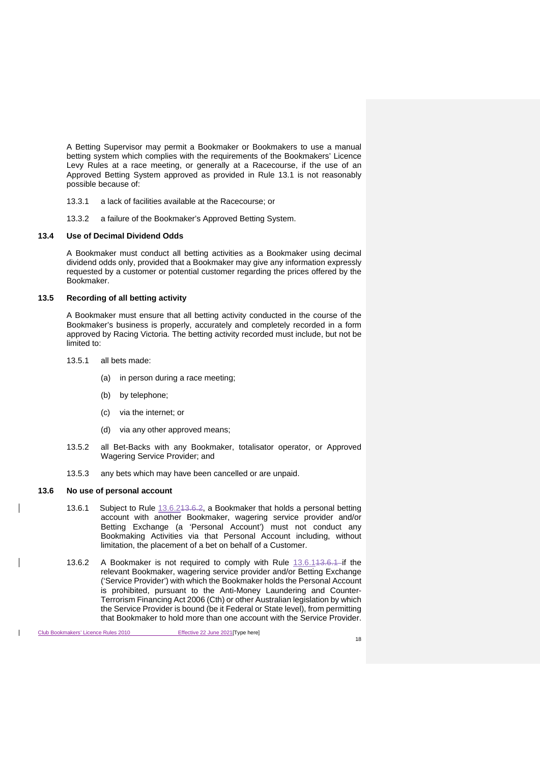A Betting Supervisor may permit a Bookmaker or Bookmakers to use a manual betting system which complies with the requirements of the Bookmakers' Licence Levy Rules at a race meeting, or generally at a Racecourse, if the use of an Approved Betting System approved as provided in Rule [13.1](#page-33-1) is not reasonably possible because of:

- 13.3.1 a lack of facilities available at the Racecourse; or
- 13.3.2 a failure of the Bookmaker's Approved Betting System.

#### <span id="page-34-0"></span>**13.4 Use of Decimal Dividend Odds**

A Bookmaker must conduct all betting activities as a Bookmaker using decimal dividend odds only, provided that a Bookmaker may give any information expressly requested by a customer or potential customer regarding the prices offered by the Bookmaker.

## <span id="page-34-1"></span>**13.5 Recording of all betting activity**

A Bookmaker must ensure that all betting activity conducted in the course of the Bookmaker's business is properly, accurately and completely recorded in a form approved by Racing Victoria. The betting activity recorded must include, but not be limited to:

- 13.5.1 all bets made:
	- (a) in person during a race meeting;
	- (b) by telephone;
	- (c) via the internet; or
	- (d) via any other approved means;
- 13.5.2 all Bet-Backs with any Bookmaker, totalisator operator, or Approved Wagering Service Provider; and
- 13.5.3 any bets which may have been cancelled or are unpaid.

#### <span id="page-34-4"></span><span id="page-34-2"></span>**13.6 No use of personal account**

- 13.6.1 Subject to Rule 13.6.243.6.2, a Bookmaker that holds a personal betting account with another Bookmaker, wagering service provider and/or Betting Exchange (a 'Personal Account') must not conduct any Bookmaking Activities via that Personal Account including, without limitation, the placement of a bet on behalf of a Customer.
- <span id="page-34-3"></span>13.6.2 A Bookmaker is not required to comply with Rule 13.6.143.6.1 if the relevant Bookmaker, wagering service provider and/or Betting Exchange ('Service Provider') with which the Bookmaker holds the Personal Account is prohibited, pursuant to the Anti-Money Laundering and Counter-Terrorism Financing Act 2006 (Cth) or other Australian legislation by which the Service Provider is bound (be it Federal or State level), from permitting that Bookmaker to hold more than one account with the Service Provider.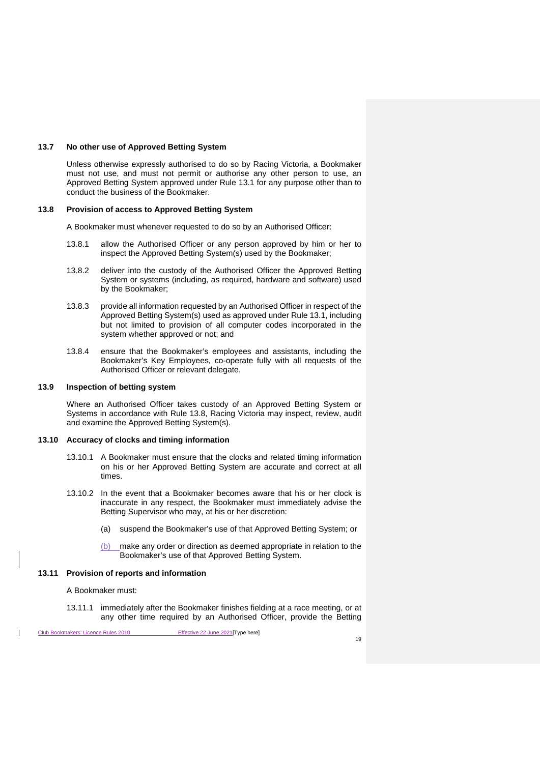#### <span id="page-35-0"></span>**13.7 No other use of Approved Betting System**

Unless otherwise expressly authorised to do so by Racing Victoria, a Bookmaker must not use, and must not permit or authorise any other person to use, an Approved Betting System approved under Rule [13.1](#page-33-1) for any purpose other than to conduct the business of the Bookmaker.

#### <span id="page-35-1"></span>**13.8 Provision of access to Approved Betting System**

A Bookmaker must whenever requested to do so by an Authorised Officer:

- 13.8.1 allow the Authorised Officer or any person approved by him or her to inspect the Approved Betting System(s) used by the Bookmaker;
- 13.8.2 deliver into the custody of the Authorised Officer the Approved Betting System or systems (including, as required, hardware and software) used by the Bookmaker;
- 13.8.3 provide all information requested by an Authorised Officer in respect of the Approved Betting System(s) used as approved under Rule [13.1,](#page-33-1) including but not limited to provision of all computer codes incorporated in the system whether approved or not; and
- 13.8.4 ensure that the Bookmaker's employees and assistants, including the Bookmaker's Key Employees, co-operate fully with all requests of the Authorised Officer or relevant delegate.

#### <span id="page-35-2"></span>**13.9 Inspection of betting system**

Where an Authorised Officer takes custody of an Approved Betting System or Systems in accordance with Rule [13.8,](#page-35-1) Racing Victoria may inspect, review, audit and examine the Approved Betting System(s).

#### <span id="page-35-3"></span>**13.10 Accuracy of clocks and timing information**

- 13.10.1 A Bookmaker must ensure that the clocks and related timing information on his or her Approved Betting System are accurate and correct at all times.
- 13.10.2 In the event that a Bookmaker becomes aware that his or her clock is inaccurate in any respect, the Bookmaker must immediately advise the Betting Supervisor who may, at his or her discretion:
	- (a) suspend the Bookmaker's use of that Approved Betting System; or
	- (b) make any order or direction as deemed appropriate in relation to the Bookmaker's use of that Approved Betting System.

#### <span id="page-35-4"></span>**13.11 Provision of reports and information**

#### A Bookmaker must:

13.11.1 immediately after the Bookmaker finishes fielding at a race meeting, or at any other time required by an Authorised Officer, provide the Betting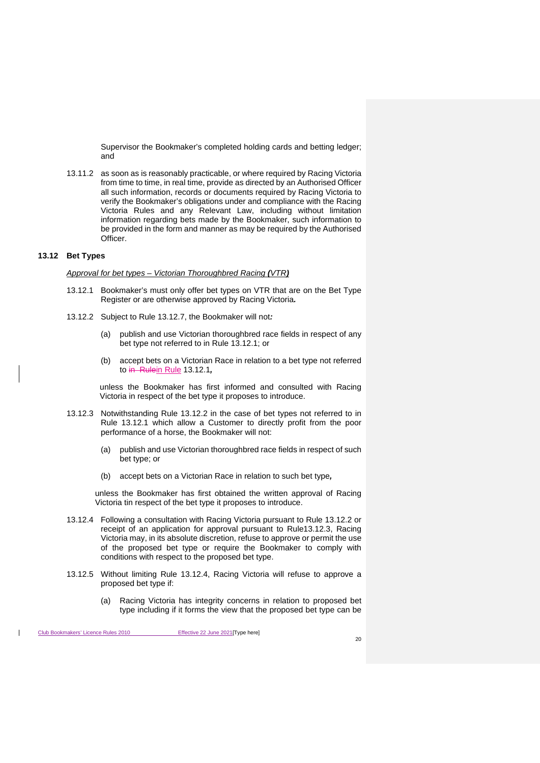Supervisor the Bookmaker's completed holding cards and betting ledger; and

13.11.2 as soon as is reasonably practicable, or where required by Racing Victoria from time to time, in real time, provide as directed by an Authorised Officer all such information, records or documents required by Racing Victoria to verify the Bookmaker's obligations under and compliance with the Racing Victoria Rules and any Relevant Law, including without limitation information regarding bets made by the Bookmaker, such information to be provided in the form and manner as may be required by the Authorised Officer.

# <span id="page-36-0"></span>**13.12 Bet Types**

*Approval for bet types – Victorian Thoroughbred Racing (VTR)*

- <span id="page-36-1"></span>13.12.1 Bookmaker's must only offer bet types on VTR that are on the Bet Type Register or are otherwise approved by Racing Victoria*.*
- <span id="page-36-2"></span>13.12.2 Subject to Rule [13.12.7,](#page-37-1) the Bookmaker will not*:*
	- (a) publish and use Victorian thoroughbred race fields in respect of any bet type not referred to in Rule [13.12.1;](#page-36-1) or
	- (b) accept bets on a Victorian Race in relation to a bet type not referred to in Rulein Rule [13.12.1](#page-36-1)*,*

unless the Bookmaker has first informed and consulted with Racing Victoria in respect of the bet type it proposes to introduce.

- <span id="page-36-3"></span>13.12.3 Notwithstanding Rule [13.12.2](#page-36-2) in the case of bet types not referred to in Rule [13.12.1](#page-36-1) which allow a Customer to directly profit from the poor performance of a horse, the Bookmaker will not:
	- (a) publish and use Victorian thoroughbred race fields in respect of such bet type; or
	- (b) accept bets on a Victorian Race in relation to such bet type*,*

unless the Bookmaker has first obtained the written approval of Racing Victoria tin respect of the bet type it proposes to introduce.

- <span id="page-36-4"></span>13.12.4 Following a consultation with Racing Victoria pursuant to Rule [13.12.2](#page-36-2) or receipt of an application for approval pursuant to Rul[e13.12.3,](#page-36-3) Racing Victoria may, in its absolute discretion, refuse to approve or permit the use of the proposed bet type or require the Bookmaker to comply with conditions with respect to the proposed bet type.
- 13.12.5 Without limiting Rule [13.12.4,](#page-36-4) Racing Victoria will refuse to approve a proposed bet type if:
	- (a) Racing Victoria has integrity concerns in relation to proposed bet type including if it forms the view that the proposed bet type can be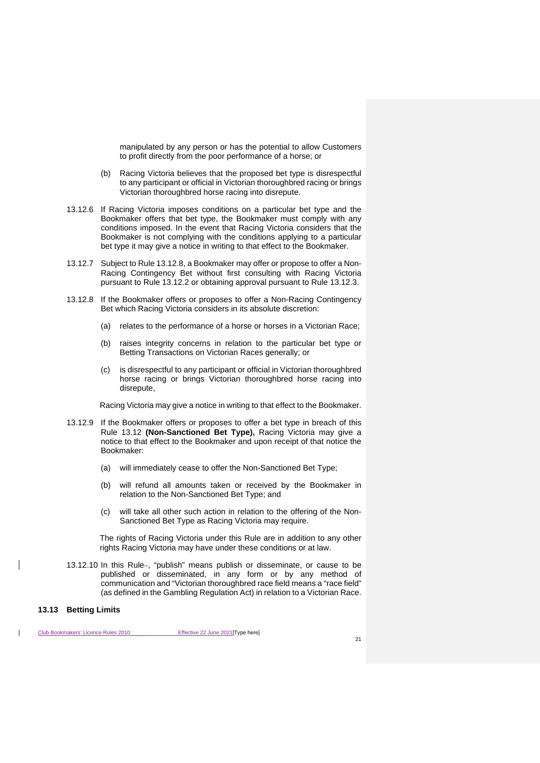manipulated by any person or has the potential to allow Customers to profit directly from the poor performance of a horse; or

- (b) Racing Victoria believes that the proposed bet type is disrespectful to any participant or official in Victorian thoroughbred racing or brings Victorian thoroughbred horse racing into disrepute.
- 13.12.6 If Racing Victoria imposes conditions on a particular bet type and the Bookmaker offers that bet type, the Bookmaker must comply with any conditions imposed. In the event that Racing Victoria considers that the Bookmaker is not complying with the conditions applying to a particular bet type it may give a notice in writing to that effect to the Bookmaker.
- <span id="page-37-1"></span>13.12.7 Subject to Rule [13.12.8,](#page-37-2) a Bookmaker may offer or propose to offer a Non-Racing Contingency Bet without first consulting with Racing Victoria pursuant to Rule [13.12.2](#page-36-2) or obtaining approval pursuant to Rule [13.12.3.](#page-36-3)
- <span id="page-37-2"></span>13.12.8 If the Bookmaker offers or proposes to offer a Non-Racing Contingency Bet which Racing Victoria considers in its absolute discretion:
	- (a) relates to the performance of a horse or horses in a Victorian Race;
	- (b) raises integrity concerns in relation to the particular bet type or Betting Transactions on Victorian Races generally; or
	- (c) is disrespectful to any participant or official in Victorian thoroughbred horse racing or brings Victorian thoroughbred horse racing into disrepute,

Racing Victoria may give a notice in writing to that effect to the Bookmaker.

- 13.12.9 If the Bookmaker offers or proposes to offer a bet type in breach of this Rule [13.12](#page-36-0) **(Non-Sanctioned Bet Type),** Racing Victoria may give a notice to that effect to the Bookmaker and upon receipt of that notice the Bookmaker:
	- (a) will immediately cease to offer the Non-Sanctioned Bet Type;
	- (b) will refund all amounts taken or received by the Bookmaker in relation to the Non-Sanctioned Bet Type; and
	- (c) will take all other such action in relation to the offering of the Non-Sanctioned Bet Type as Racing Victoria may require.

The rights of Racing Victoria under this Rule are in addition to any other rights Racing Victoria may have under these conditions or at law.

13.12.10 In this Rule-, "publish" means publish or disseminate, or cause to be published or disseminated, in any form or by any method of communication and "Victorian thoroughbred race field means a "race field" (as defined in the Gambling Regulation Act) in relation to a Victorian Race.

#### <span id="page-37-0"></span>**13.13 Betting Limits**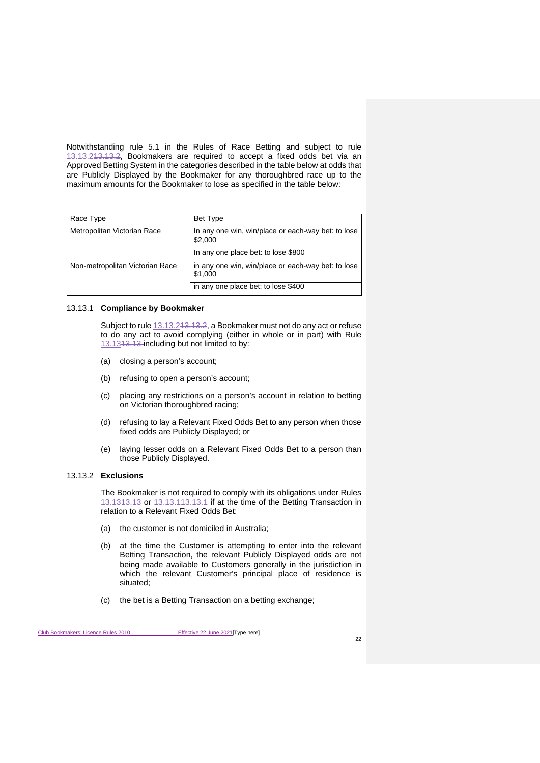Notwithstanding rule 5.1 in the Rules of Race Betting and subject to rule [13.13.21](#page-38-0)3.13.2, Bookmakers are required to accept a fixed odds bet via an Approved Betting System in the categories described in the table below at odds that are Publicly Displayed by the Bookmaker for any thoroughbred race up to the maximum amounts for the Bookmaker to lose as specified in the table below:

| Race Type                       | Bet Type                                                      |
|---------------------------------|---------------------------------------------------------------|
| Metropolitan Victorian Race     | In any one win, win/place or each-way bet: to lose<br>\$2,000 |
|                                 | In any one place bet: to lose \$800                           |
| Non-metropolitan Victorian Race | in any one win, win/place or each-way bet: to lose<br>\$1,000 |
|                                 | in any one place bet: to lose \$400                           |

#### <span id="page-38-1"></span>13.13.1 **Compliance by Bookmaker**

Subject to rule 13.13.243.13.2, a Bookmaker must not do any act or refuse to do any act to avoid complying (either in whole or in part) with Rule [13.131](#page-37-0)3.13 including but not limited to by:

- (a) closing a person's account;
- (b) refusing to open a person's account;
- (c) placing any restrictions on a person's account in relation to betting on Victorian thoroughbred racing;
- (d) refusing to lay a Relevant Fixed Odds Bet to any person when those fixed odds are Publicly Displayed; or
- (e) laying lesser odds on a Relevant Fixed Odds Bet to a person than those Publicly Displayed.

#### <span id="page-38-0"></span>13.13.2 **Exclusions**

The Bookmaker is not required to comply with its obligations under Rules [13.131](#page-37-0)3.13 or [13.13.11](#page-38-1)3.13.1 if at the time of the Betting Transaction in relation to a Relevant Fixed Odds Bet:

- (a) the customer is not domiciled in Australia;
- (b) at the time the Customer is attempting to enter into the relevant Betting Transaction, the relevant Publicly Displayed odds are not being made available to Customers generally in the jurisdiction in which the relevant Customer's principal place of residence is situated;
- (c) the bet is a Betting Transaction on a betting exchange;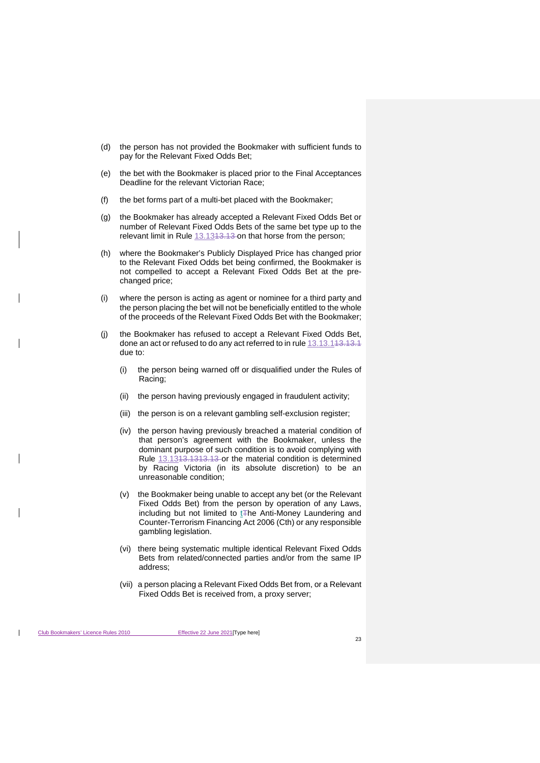- (d) the person has not provided the Bookmaker with sufficient funds to pay for the Relevant Fixed Odds Bet;
- (e) the bet with the Bookmaker is placed prior to the Final Acceptances Deadline for the relevant Victorian Race;
- (f) the bet forms part of a multi-bet placed with the Bookmaker;
- (g) the Bookmaker has already accepted a Relevant Fixed Odds Bet or number of Relevant Fixed Odds Bets of the same bet type up to the relevant limit in Rule 13.13<del>13.13</del> on that horse from the person;
- (h) where the Bookmaker's Publicly Displayed Price has changed prior to the Relevant Fixed Odds bet being confirmed, the Bookmaker is not compelled to accept a Relevant Fixed Odds Bet at the prechanged price;
- (i) where the person is acting as agent or nominee for a third party and the person placing the bet will not be beneficially entitled to the whole of the proceeds of the Relevant Fixed Odds Bet with the Bookmaker;
- (j) the Bookmaker has refused to accept a Relevant Fixed Odds Bet, done an act or refused to do any act referred to in rul[e 13.13.11](#page-38-1)3.13.1 due to:
	- (i) the person being warned off or disqualified under the Rules of Racing;
	- (ii) the person having previously engaged in fraudulent activity;
	- (iii) the person is on a relevant gambling self-exclusion register;
	- (iv) the person having previously breached a material condition of that person's agreement with the Bookmaker, unless the dominant purpose of such condition is to avoid complying with Rule [13.1313.131](#page-37-0)3.13 or the material condition is determined by Racing Victoria (in its absolute discretion) to be an unreasonable condition;
	- (v) the Bookmaker being unable to accept any bet (or the Relevant Fixed Odds Bet) from the person by operation of any Laws, including but not limited to  $tF$ he Anti-Money Laundering and Counter-Terrorism Financing Act 2006 (Cth) or any responsible gambling legislation.
	- (vi) there being systematic multiple identical Relevant Fixed Odds Bets from related/connected parties and/or from the same IP address;
	- (vii) a person placing a Relevant Fixed Odds Bet from, or a Relevant Fixed Odds Bet is received from, a proxy server;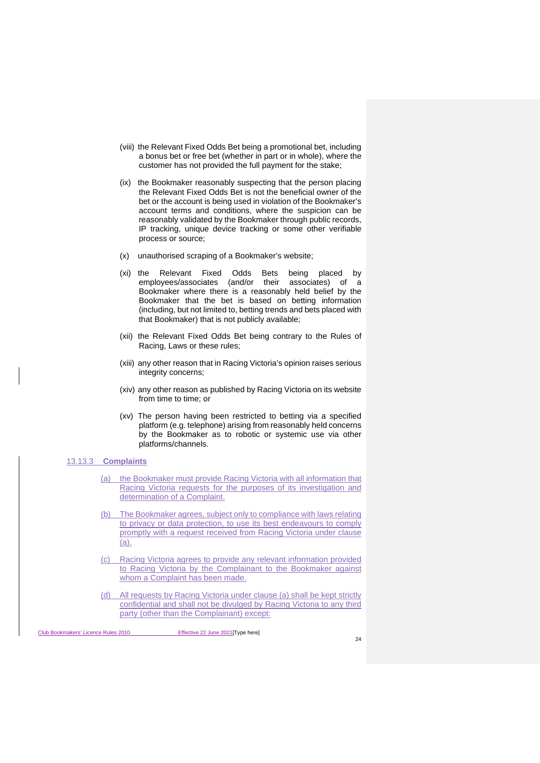- (viii) the Relevant Fixed Odds Bet being a promotional bet, including a bonus bet or free bet (whether in part or in whole), where the customer has not provided the full payment for the stake;
- (ix) the Bookmaker reasonably suspecting that the person placing the Relevant Fixed Odds Bet is not the beneficial owner of the bet or the account is being used in violation of the Bookmaker's account terms and conditions, where the suspicion can be reasonably validated by the Bookmaker through public records, IP tracking, unique device tracking or some other verifiable process or source;
- (x) unauthorised scraping of a Bookmaker's website;
- (xi) the Relevant Fixed Odds Bets being placed by employees/associates (and/or their associates) of a Bookmaker where there is a reasonably held belief by the Bookmaker that the bet is based on betting information (including, but not limited to, betting trends and bets placed with that Bookmaker) that is not publicly available;
- (xii) the Relevant Fixed Odds Bet being contrary to the Rules of Racing, Laws or these rules;
- (xiii) any other reason that in Racing Victoria's opinion raises serious integrity concerns;
- (xiv) any other reason as published by Racing Victoria on its website from time to time; or
- (xv) The person having been restricted to betting via a specified platform (e.g. telephone) arising from reasonably held concerns by the Bookmaker as to robotic or systemic use via other platforms/channels.

#### <span id="page-40-0"></span>13.13.3 **Complaints**

- <span id="page-40-2"></span>(a) the Bookmaker must provide Racing Victoria with all information that Racing Victoria requests for the purposes of its investigation and determination of a Complaint.
- (b) The Bookmaker agrees, subject only to compliance with laws relating to privacy or data protection, to use its best endeavours to comply promptly with a request received from Racing Victoria under clause [\(a\).](#page-40-0)
- (c) Racing Victoria agrees to provide any relevant information provided to Racing Victoria by the Complainant to the Bookmaker against whom a Complaint has been made.
- <span id="page-40-1"></span>(d) All requests by Racing Victoria under clause [\(a\)](#page-40-0) shall be kept strictly confidential and shall not be divulged by Racing Victoria to any third party (other than the Complainant) except: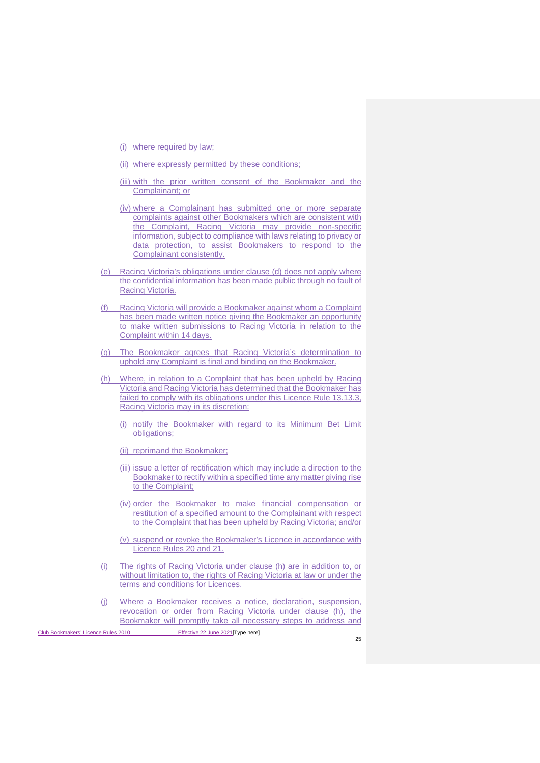- (i) where required by law;
- (ii) where expressly permitted by these conditions;
- (iii) with the prior written consent of the Bookmaker and the Complainant; or
- (iv) where a Complainant has submitted one or more separate complaints against other Bookmakers which are consistent with the Complaint, Racing Victoria may provide non-specific information, subject to compliance with laws relating to privacy or data protection, to assist Bookmakers to respond to the Complainant consistently.
- (e) Racing Victoria's obligations under clause [\(d\)](#page-40-1) does not apply where the confidential information has been made public through no fault of Racing Victoria.
- (f) Racing Victoria will provide a Bookmaker against whom a Complaint has been made written notice giving the Bookmaker an opportunity to make written submissions to Racing Victoria in relation to the Complaint within 14 days.
- (g) The Bookmaker agrees that Racing Victoria's determination to uphold any Complaint is final and binding on the Bookmaker.
- <span id="page-41-0"></span>(h) Where, in relation to a Complaint that has been upheld by Racing Victoria and Racing Victoria has determined that the Bookmaker has failed to comply with its obligations under this Licence Rul[e 13.13.3,](#page-40-2) Racing Victoria may in its discretion:
	- (i) notify the Bookmaker with regard to its Minimum Bet Limit obligations;
	- (ii) reprimand the Bookmaker;
	- (iii) issue a letter of rectification which may include a direction to the Bookmaker to rectify within a specified time any matter giving rise to the Complaint;
	- (iv) order the Bookmaker to make financial compensation or restitution of a specified amount to the Complainant with respect to the Complaint that has been upheld by Racing Victoria; and/or
	- (v) suspend or revoke the Bookmaker's Licence in accordance with Licence Rules [20](#page-52-0) and [21.](#page-53-1)
- (i) The rights of Racing Victoria under clause [\(h\)](#page-41-0) are in addition to, or without limitation to, the rights of Racing Victoria at law or under the terms and conditions for Licences.
- Where a Bookmaker receives a notice, declaration, suspension, revocation or order from Racing Victoria under clause [\(h\),](#page-41-0) the Bookmaker will promptly take all necessary steps to address and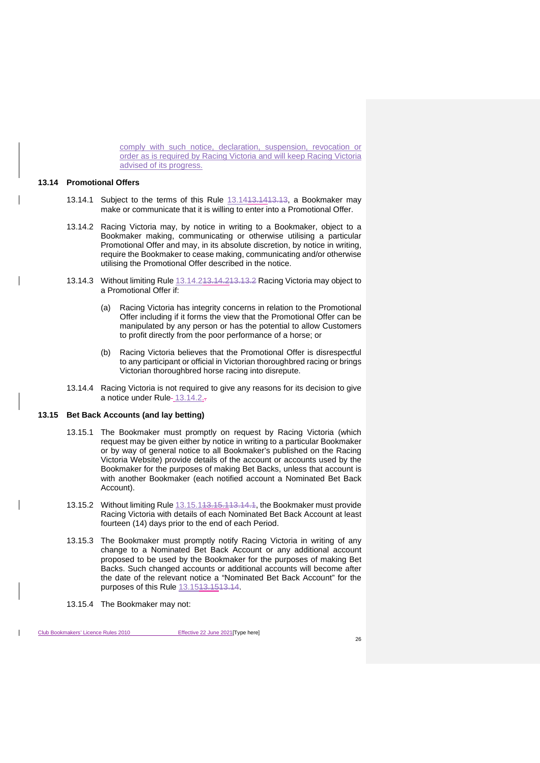comply with such notice, declaration, suspension, revocation or order as is required by Racing Victoria and will keep Racing Victoria advised of its progress.

#### <span id="page-42-0"></span>**13.14 Promotional Offers**

- 13.14.1 Subject to the terms of this Rule [13.1413.1413.13,](#page-42-0) a Bookmaker may make or communicate that it is willing to enter into a Promotional Offer.
- <span id="page-42-2"></span>13.14.2 Racing Victoria may, by notice in writing to a Bookmaker, object to a Bookmaker making, communicating or otherwise utilising a particular Promotional Offer and may, in its absolute discretion, by notice in writing, require the Bookmaker to cease making, communicating and/or otherwise utilising the Promotional Offer described in the notice.
- 13.14.3 Without limiting Rule [13.14.213.14.213.13.2](#page-42-2) Racing Victoria may object to a Promotional Offer if:
	- (a) Racing Victoria has integrity concerns in relation to the Promotional Offer including if it forms the view that the Promotional Offer can be manipulated by any person or has the potential to allow Customers to profit directly from the poor performance of a horse; or
	- (b) Racing Victoria believes that the Promotional Offer is disrespectful to any participant or official in Victorian thoroughbred racing or brings Victorian thoroughbred horse racing into disrepute.
- 13.14.4 Racing Victoria is not required to give any reasons for its decision to give a notice under Rule-[13.14.2.](#page-42-2)

## <span id="page-42-3"></span><span id="page-42-1"></span>**13.15 Bet Back Accounts (and lay betting)**

- 13.15.1 The Bookmaker must promptly on request by Racing Victoria (which request may be given either by notice in writing to a particular Bookmaker or by way of general notice to all Bookmaker's published on the Racing Victoria Website) provide details of the account or accounts used by the Bookmaker for the purposes of making Bet Backs, unless that account is with another Bookmaker (each notified account a Nominated Bet Back Account).
- 13.15.2 Without limiting Rule [13.15.113.15.113.14.1,](#page-42-3) the Bookmaker must provide Racing Victoria with details of each Nominated Bet Back Account at least fourteen (14) days prior to the end of each Period.
- 13.15.3 The Bookmaker must promptly notify Racing Victoria in writing of any change to a Nominated Bet Back Account or any additional account proposed to be used by the Bookmaker for the purposes of making Bet Backs. Such changed accounts or additional accounts will become after the date of the relevant notice a "Nominated Bet Back Account" for the purposes of this Rule [13.1513.1513.14.](#page-42-1)
- 13.15.4 The Bookmaker may not: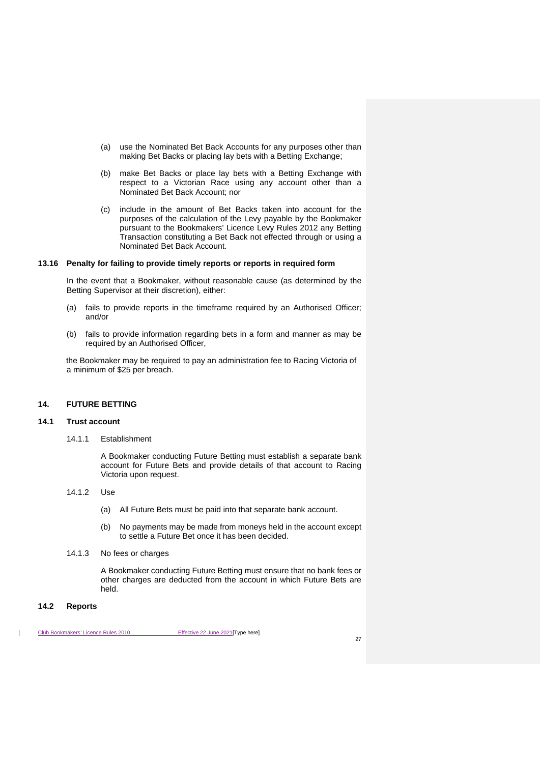- (a) use the Nominated Bet Back Accounts for any purposes other than making Bet Backs or placing lay bets with a Betting Exchange;
- (b) make Bet Backs or place lay bets with a Betting Exchange with respect to a Victorian Race using any account other than a Nominated Bet Back Account; nor
- (c) include in the amount of Bet Backs taken into account for the purposes of the calculation of the Levy payable by the Bookmaker pursuant to the Bookmakers' Licence Levy Rules 2012 any Betting Transaction constituting a Bet Back not effected through or using a Nominated Bet Back Account.

#### <span id="page-43-0"></span>**13.16 Penalty for failing to provide timely reports or reports in required form**

In the event that a Bookmaker, without reasonable cause (as determined by the Betting Supervisor at their discretion), either:

- (a) fails to provide reports in the timeframe required by an Authorised Officer; and/or
- (b) fails to provide information regarding bets in a form and manner as may be required by an Authorised Officer.

the Bookmaker may be required to pay an administration fee to Racing Victoria of a minimum of \$25 per breach.

## <span id="page-43-1"></span>**14. FUTURE BETTING**

#### <span id="page-43-2"></span>**14.1 Trust account**

14.1.1 Establishment

A Bookmaker conducting Future Betting must establish a separate bank account for Future Bets and provide details of that account to Racing Victoria upon request.

- 14.1.2 Use
	- (a) All Future Bets must be paid into that separate bank account.
	- (b) No payments may be made from moneys held in the account except to settle a Future Bet once it has been decided.
- 14.1.3 No fees or charges

A Bookmaker conducting Future Betting must ensure that no bank fees or other charges are deducted from the account in which Future Bets are held.

#### <span id="page-43-3"></span>**14.2 Reports**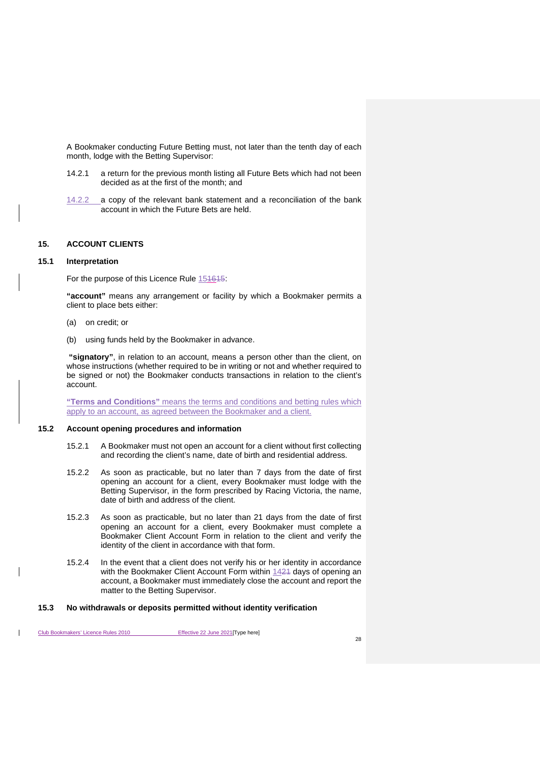A Bookmaker conducting Future Betting must, not later than the tenth day of each month, lodge with the Betting Supervisor:

- 14.2.1 a return for the previous month listing all Future Bets which had not been decided as at the first of the month; and
- 14.2.2 a copy of the relevant bank statement and a reconciliation of the bank account in which the Future Bets are held.

# <span id="page-44-4"></span><span id="page-44-0"></span>**15. ACCOUNT CLIENTS**

#### <span id="page-44-1"></span>**15.1 Interpretation**

For the purpose of this Licence Rule [151615:](#page-44-4)

**"account"** means any arrangement or facility by which a Bookmaker permits a client to place bets either:

- (a) on credit; or
- (b) using funds held by the Bookmaker in advance.

**"signatory"**, in relation to an account, means a person other than the client, on whose instructions (whether required to be in writing or not and whether required to be signed or not) the Bookmaker conducts transactions in relation to the client's account.

**"Terms and Conditions"** means the terms and conditions and betting rules which apply to an account, as agreed between the Bookmaker and a client.

#### <span id="page-44-2"></span>**15.2 Account opening procedures and information**

- 15.2.1 A Bookmaker must not open an account for a client without first collecting and recording the client's name, date of birth and residential address.
- 15.2.2 As soon as practicable, but no later than 7 days from the date of first opening an account for a client, every Bookmaker must lodge with the Betting Supervisor, in the form prescribed by Racing Victoria, the name, date of birth and address of the client.
- 15.2.3 As soon as practicable, but no later than 21 days from the date of first opening an account for a client, every Bookmaker must complete a Bookmaker Client Account Form in relation to the client and verify the identity of the client in accordance with that form.
- 15.2.4 In the event that a client does not verify his or her identity in accordance with the Bookmaker Client Account Form within 1424 days of opening an account, a Bookmaker must immediately close the account and report the matter to the Betting Supervisor.

#### <span id="page-44-3"></span>**15.3 No withdrawals or deposits permitted without identity verification**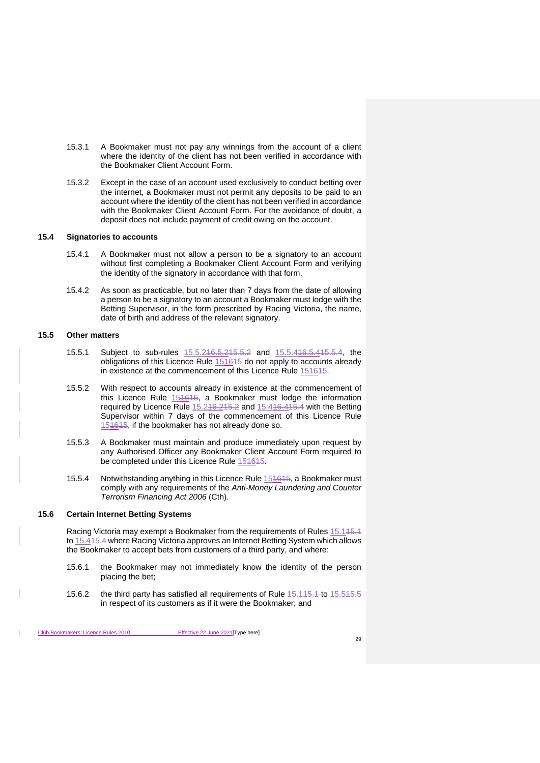- 15.3.1 A Bookmaker must not pay any winnings from the account of a client where the identity of the client has not been verified in accordance with the Bookmaker Client Account Form.
- 15.3.2 Except in the case of an account used exclusively to conduct betting over the internet, a Bookmaker must not permit any deposits to be paid to an account where the identity of the client has not been verified in accordance with the Bookmaker Client Account Form. For the avoidance of doubt, a deposit does not include payment of credit owing on the account.

#### <span id="page-45-0"></span>**15.4 Signatories to accounts**

- 15.4.1 A Bookmaker must not allow a person to be a signatory to an account without first completing a Bookmaker Client Account Form and verifying the identity of the signatory in accordance with that form.
- 15.4.2 As soon as practicable, but no later than 7 days from the date of allowing a person to be a signatory to an account a Bookmaker must lodge with the Betting Supervisor, in the form prescribed by Racing Victoria, the name, date of birth and address of the relevant signatory.

#### <span id="page-45-1"></span>**15.5 Other matters**

- 15.5.1 Subject to sub-rules [15.5.216.5.215.5.2](#page-45-3) and [15.5.416.5.415.5.4,](#page-45-4) the obligations of this Licence Rule  $15\overline{4615}$  do not apply to accounts already in existence at the commencement of this Licence Rule [151615.](#page-44-4)
- <span id="page-45-3"></span>15.5.2 With respect to accounts already in existence at the commencement of this Licence Rule [151615,](#page-44-4) a Bookmaker must lodge the information required by Licence Rule  $15.216.215.2$  and  $15.416.415.4$  with the Betting Supervisor within 7 days of the commencement of this Licence Rule [151615,](#page-44-4) if the bookmaker has not already done so.
- 15.5.3 A Bookmaker must maintain and produce immediately upon request by any Authorised Officer any Bookmaker Client Account Form required to be completed under this Licence Rule [151615.](#page-44-4)
- <span id="page-45-4"></span>15.5.4 Notwithstanding anything in this Licence Rule [151615,](#page-44-4) a Bookmaker must comply with any requirements of the *Anti-Money Laundering and Counter Terrorism Financing Act 2006* (Cth).

#### <span id="page-45-2"></span>**15.6 Certain Internet Betting Systems**

Racing Victoria may exempt a Bookmaker from the requirements of Rules 15.145.1 to [15.41](#page-45-0)5.4 where Racing Victoria approves an Internet Betting System which allows the Bookmaker to accept bets from customers of a third party, and where:

- 15.6.1 the Bookmaker may not immediately know the identity of the person placing the bet;
- 15.6.2 the third party has satisfied all requirements of Rule 15.145.4 to 15.545.5 in respect of its customers as if it were the Bookmaker; and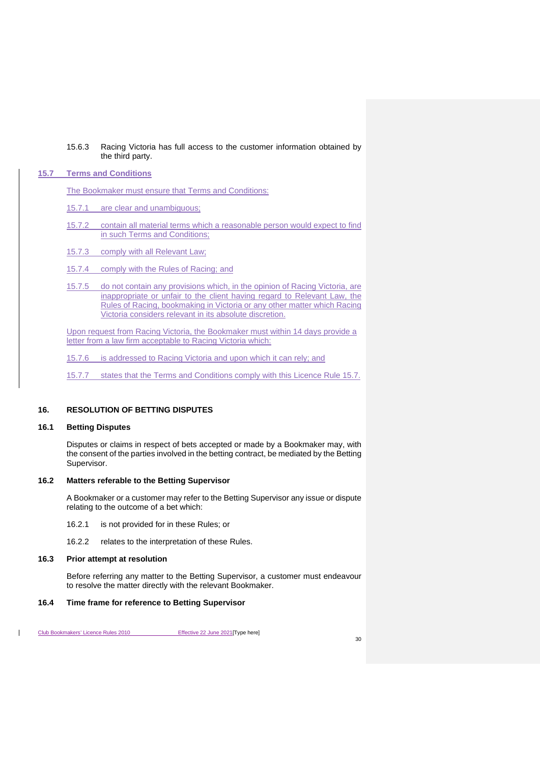## 15.6.3 Racing Victoria has full access to the customer information obtained by the third party.

# <span id="page-46-0"></span>**15.7 Terms and Conditions**

The Bookmaker must ensure that Terms and Conditions:

- 15.7.1 are clear and unambiguous;
- 15.7.2 contain all material terms which a reasonable person would expect to find in such Terms and Conditions;
- 15.7.3 comply with all Relevant Law;
- 15.7.4 comply with the Rules of Racing; and
- 15.7.5 do not contain any provisions which, in the opinion of Racing Victoria, are inappropriate or unfair to the client having regard to Relevant Law, the Rules of Racing, bookmaking in Victoria or any other matter which Racing Victoria considers relevant in its absolute discretion.

Upon request from Racing Victoria, the Bookmaker must within 14 days provide a letter from a law firm acceptable to Racing Victoria which:

- 15.7.6 is addressed to Racing Victoria and upon which it can rely; and
- 15.7.7 states that the Terms and Conditions comply with this Licence Rule [15.7.](#page-46-0)

## <span id="page-46-1"></span>**16. RESOLUTION OF BETTING DISPUTES**

## <span id="page-46-2"></span>**16.1 Betting Disputes**

Disputes or claims in respect of bets accepted or made by a Bookmaker may, with the consent of the parties involved in the betting contract, be mediated by the Betting Supervisor.

#### <span id="page-46-3"></span>**16.2 Matters referable to the Betting Supervisor**

A Bookmaker or a customer may refer to the Betting Supervisor any issue or dispute relating to the outcome of a bet which:

- 16.2.1 is not provided for in these Rules; or
- 16.2.2 relates to the interpretation of these Rules.

## <span id="page-46-4"></span>**16.3 Prior attempt at resolution**

Before referring any matter to the Betting Supervisor, a customer must endeavour to resolve the matter directly with the relevant Bookmaker.

## <span id="page-46-5"></span>**16.4 Time frame for reference to Betting Supervisor**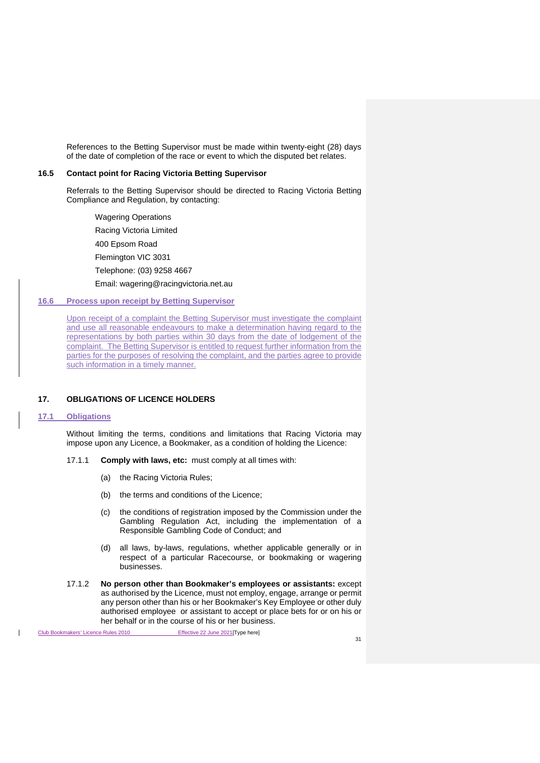References to the Betting Supervisor must be made within twenty-eight (28) days of the date of completion of the race or event to which the disputed bet relates.

## <span id="page-47-0"></span>**16.5 Contact point for Racing Victoria Betting Supervisor**

Referrals to the Betting Supervisor should be directed to Racing Victoria Betting Compliance and Regulation, by contacting:

Wagering Operations Racing Victoria Limited 400 Epsom Road Flemington VIC 3031 Telephone: (03) 9258 4667 Email: wagering@racingvictoria.net.au

# <span id="page-47-1"></span>**16.6 Process upon receipt by Betting Supervisor**

Upon receipt of a complaint the Betting Supervisor must investigate the complaint and use all reasonable endeavours to make a determination having regard to the representations by both parties within 30 days from the date of lodgement of the complaint. The Betting Supervisor is entitled to request further information from the parties for the purposes of resolving the complaint, and the parties agree to provide such information in a timely manner.

# <span id="page-47-2"></span>**17. OBLIGATIONS OF LICENCE HOLDERS**

#### <span id="page-47-3"></span>**17.1 Obligations**

Without limiting the terms, conditions and limitations that Racing Victoria may impose upon any Licence, a Bookmaker, as a condition of holding the Licence:

- 17.1.1 **Comply with laws, etc:** must comply at all times with:
	- (a) the Racing Victoria Rules;
	- (b) the terms and conditions of the Licence;
	- (c) the conditions of registration imposed by the Commission under the Gambling Regulation Act, including the implementation of a Responsible Gambling Code of Conduct; and
	- (d) all laws, by-laws, regulations, whether applicable generally or in respect of a particular Racecourse, or bookmaking or wagering businesses.
- 17.1.2 **No person other than Bookmaker's employees or assistants:** except as authorised by the Licence, must not employ, engage, arrange or permit any person other than his or her Bookmaker's Key Employee or other duly authorised employee or assistant to accept or place bets for or on his or her behalf or in the course of his or her business.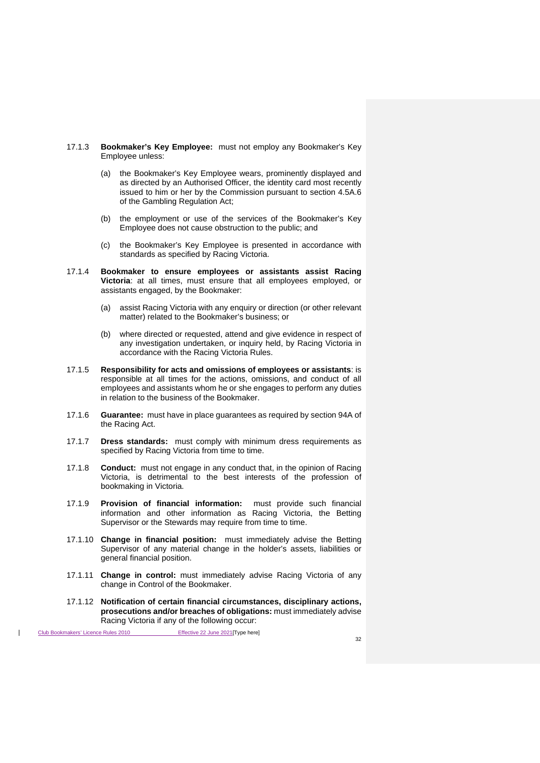- 17.1.3 **Bookmaker's Key Employee:** must not employ any Bookmaker's Key Employee unless:
	- (a) the Bookmaker's Key Employee wears, prominently displayed and as directed by an Authorised Officer, the identity card most recently issued to him or her by the Commission pursuant to section 4.5A.6 of the Gambling Regulation Act;
	- (b) the employment or use of the services of the Bookmaker's Key Employee does not cause obstruction to the public; and
	- (c) the Bookmaker's Key Employee is presented in accordance with standards as specified by Racing Victoria.
- 17.1.4 **Bookmaker to ensure employees or assistants assist Racing Victoria**: at all times, must ensure that all employees employed, or assistants engaged, by the Bookmaker:
	- (a) assist Racing Victoria with any enquiry or direction (or other relevant matter) related to the Bookmaker's business; or
	- (b) where directed or requested, attend and give evidence in respect of any investigation undertaken, or inquiry held, by Racing Victoria in accordance with the Racing Victoria Rules.
- 17.1.5 **Responsibility for acts and omissions of employees or assistants**: is responsible at all times for the actions, omissions, and conduct of all employees and assistants whom he or she engages to perform any duties in relation to the business of the Bookmaker.
- 17.1.6 **Guarantee:** must have in place guarantees as required by section 94A of the Racing Act.
- 17.1.7 **Dress standards:** must comply with minimum dress requirements as specified by Racing Victoria from time to time.
- 17.1.8 **Conduct:** must not engage in any conduct that, in the opinion of Racing Victoria, is detrimental to the best interests of the profession of bookmaking in Victoria.
- 17.1.9 **Provision of financial information:** must provide such financial information and other information as Racing Victoria, the Betting Supervisor or the Stewards may require from time to time.
- 17.1.10 **Change in financial position:** must immediately advise the Betting Supervisor of any material change in the holder's assets, liabilities or general financial position.
- 17.1.11 **Change in control:** must immediately advise Racing Victoria of any change in Control of the Bookmaker.
- 17.1.12 **Notification of certain financial circumstances, disciplinary actions, prosecutions and/or breaches of obligations:** must immediately advise Racing Victoria if any of the following occur: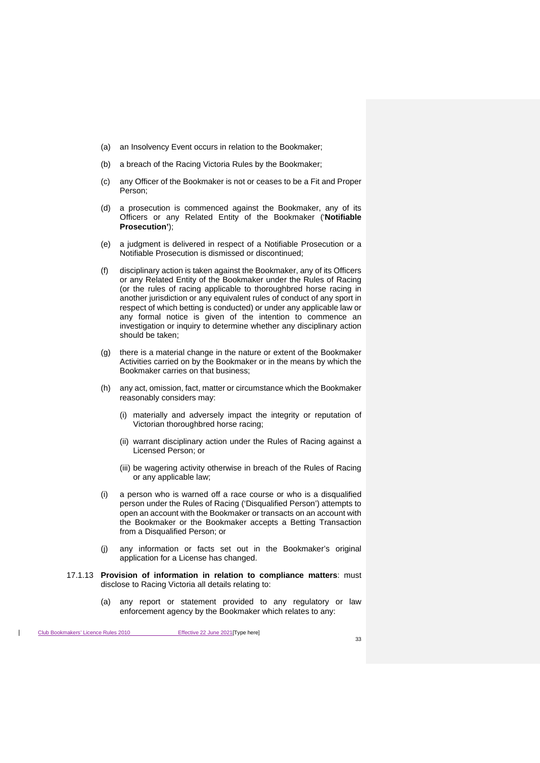- (a) an Insolvency Event occurs in relation to the Bookmaker;
- (b) a breach of the Racing Victoria Rules by the Bookmaker;
- (c) any Officer of the Bookmaker is not or ceases to be a Fit and Proper Person;
- (d) a prosecution is commenced against the Bookmaker, any of its Officers or any Related Entity of the Bookmaker ('**Notifiable Prosecution'**);
- (e) a judgment is delivered in respect of a Notifiable Prosecution or a Notifiable Prosecution is dismissed or discontinued;
- (f) disciplinary action is taken against the Bookmaker, any of its Officers or any Related Entity of the Bookmaker under the Rules of Racing (or the rules of racing applicable to thoroughbred horse racing in another jurisdiction or any equivalent rules of conduct of any sport in respect of which betting is conducted) or under any applicable law or any formal notice is given of the intention to commence an investigation or inquiry to determine whether any disciplinary action should be taken;
- (g) there is a material change in the nature or extent of the Bookmaker Activities carried on by the Bookmaker or in the means by which the Bookmaker carries on that business;
- (h) any act, omission, fact, matter or circumstance which the Bookmaker reasonably considers may:
	- (i) materially and adversely impact the integrity or reputation of Victorian thoroughbred horse racing;
	- (ii) warrant disciplinary action under the Rules of Racing against a Licensed Person; or
	- (iii) be wagering activity otherwise in breach of the Rules of Racing or any applicable law;
- (i) a person who is warned off a race course or who is a disqualified person under the Rules of Racing ('Disqualified Person') attempts to open an account with the Bookmaker or transacts on an account with the Bookmaker or the Bookmaker accepts a Betting Transaction from a Disqualified Person; or
- (j) any information or facts set out in the Bookmaker's original application for a License has changed.
- 17.1.13 **Provision of information in relation to compliance matters**: must disclose to Racing Victoria all details relating to:
	- (a) any report or statement provided to any regulatory or law enforcement agency by the Bookmaker which relates to any: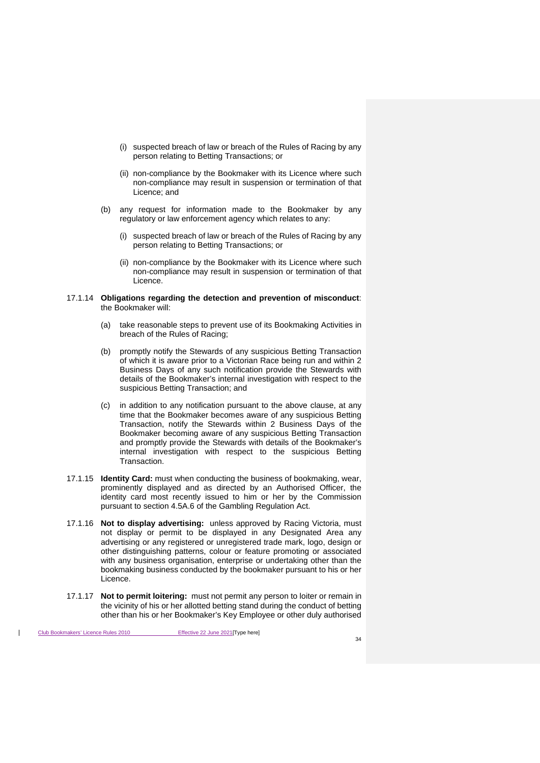- (i) suspected breach of law or breach of the Rules of Racing by any person relating to Betting Transactions; or
- (ii) non-compliance by the Bookmaker with its Licence where such non-compliance may result in suspension or termination of that Licence; and
- (b) any request for information made to the Bookmaker by any regulatory or law enforcement agency which relates to any:
	- (i) suspected breach of law or breach of the Rules of Racing by any person relating to Betting Transactions; or
	- (ii) non-compliance by the Bookmaker with its Licence where such non-compliance may result in suspension or termination of that Licence.

#### 17.1.14 **Obligations regarding the detection and prevention of misconduct**: the Bookmaker will:

- (a) take reasonable steps to prevent use of its Bookmaking Activities in breach of the Rules of Racing;
- (b) promptly notify the Stewards of any suspicious Betting Transaction of which it is aware prior to a Victorian Race being run and within 2 Business Days of any such notification provide the Stewards with details of the Bookmaker's internal investigation with respect to the suspicious Betting Transaction; and
- (c) in addition to any notification pursuant to the above clause, at any time that the Bookmaker becomes aware of any suspicious Betting Transaction, notify the Stewards within 2 Business Days of the Bookmaker becoming aware of any suspicious Betting Transaction and promptly provide the Stewards with details of the Bookmaker's internal investigation with respect to the suspicious Betting Transaction.
- 17.1.15 **Identity Card:** must when conducting the business of bookmaking, wear, prominently displayed and as directed by an Authorised Officer, the identity card most recently issued to him or her by the Commission pursuant to section 4.5A.6 of the Gambling Regulation Act.
- 17.1.16 **Not to display advertising:** unless approved by Racing Victoria, must not display or permit to be displayed in any Designated Area any advertising or any registered or unregistered trade mark, logo, design or other distinguishing patterns, colour or feature promoting or associated with any business organisation, enterprise or undertaking other than the bookmaking business conducted by the bookmaker pursuant to his or her Licence.
- 17.1.17 **Not to permit loitering:** must not permit any person to loiter or remain in the vicinity of his or her allotted betting stand during the conduct of betting other than his or her Bookmaker's Key Employee or other duly authorised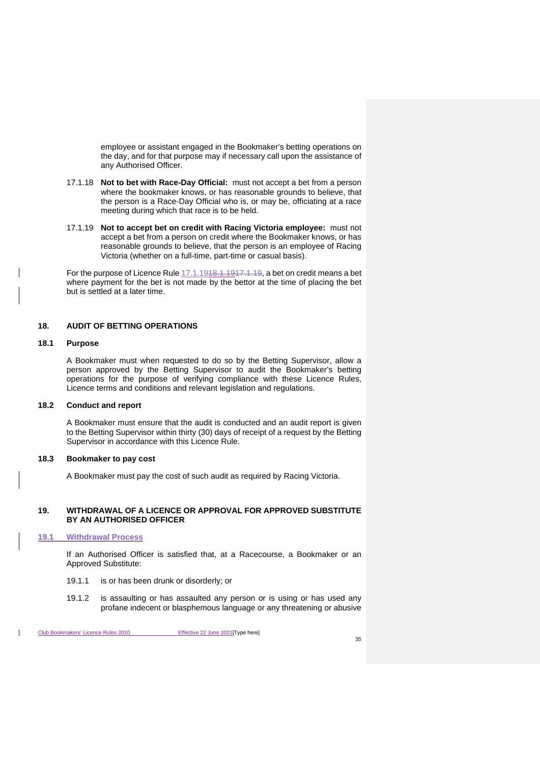employee or assistant engaged in the Bookmaker's betting operations on the day, and for that purpose may if necessary call upon the assistance of any Authorised Officer.

- 17.1.18 **Not to bet with Race-Day Official:** must not accept a bet from a person where the bookmaker knows, or has reasonable grounds to believe, that the person is a Race-Day Official who is, or may be, officiating at a race meeting during which that race is to be held.
- <span id="page-51-6"></span>17.1.19 **Not to accept bet on credit with Racing Victoria employee:** must not accept a bet from a person on credit where the Bookmaker knows, or has reasonable grounds to believe, that the person is an employee of Racing Victoria (whether on a full-time, part-time or casual basis).

For the purpose of Licence Rule [17.1.1918.1.1917.1.19,](#page-51-6) a bet on credit means a bet where payment for the bet is not made by the bettor at the time of placing the bet but is settled at a later time.

# <span id="page-51-0"></span>**18. AUDIT OF BETTING OPERATIONS**

#### <span id="page-51-1"></span>**18.1 Purpose**

A Bookmaker must when requested to do so by the Betting Supervisor, allow a person approved by the Betting Supervisor to audit the Bookmaker's betting operations for the purpose of verifying compliance with these Licence Rules, Licence terms and conditions and relevant legislation and regulations.

# <span id="page-51-2"></span>**18.2 Conduct and report**

A Bookmaker must ensure that the audit is conducted and an audit report is given to the Betting Supervisor within thirty (30) days of receipt of a request by the Betting Supervisor in accordance with this Licence Rule.

## <span id="page-51-3"></span>**18.3 Bookmaker to pay cost**

A Bookmaker must pay the cost of such audit as required by Racing Victoria.

## <span id="page-51-4"></span>**19. WITHDRAWAL OF A LICENCE OR APPROVAL FOR APPROVED SUBSTITUTE BY AN AUTHORISED OFFICER**

# <span id="page-51-5"></span>**19.1 Withdrawal Process**

If an Authorised Officer is satisfied that, at a Racecourse, a Bookmaker or an Approved Substitute:

- 19.1.1 is or has been drunk or disorderly; or
- 19.1.2 is assaulting or has assaulted any person or is using or has used any profane indecent or blasphemous language or any threatening or abusive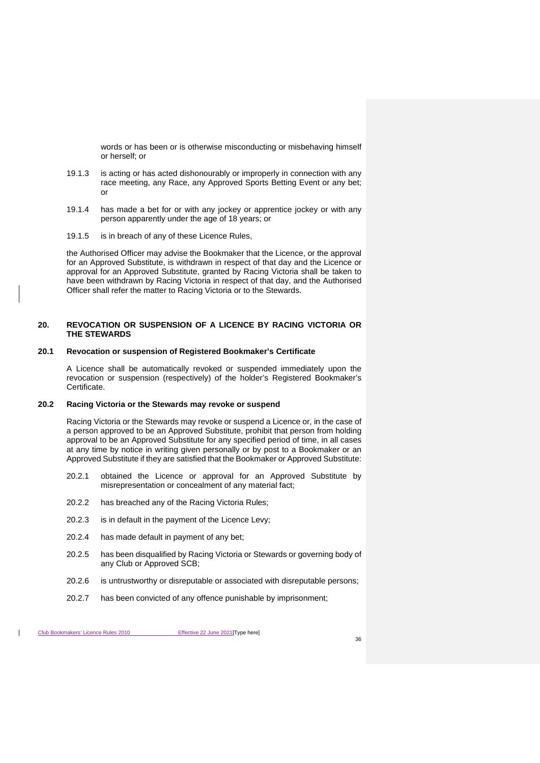words or has been or is otherwise misconducting or misbehaving himself or herself; or

- 19.1.3 is acting or has acted dishonourably or improperly in connection with any race meeting, any Race, any Approved Sports Betting Event or any bet; or
- 19.1.4 has made a bet for or with any jockey or apprentice jockey or with any person apparently under the age of 18 years; or
- 19.1.5 is in breach of any of these Licence Rules,

the Authorised Officer may advise the Bookmaker that the Licence, or the approval for an Approved Substitute, is withdrawn in respect of that day and the Licence or approval for an Approved Substitute, granted by Racing Victoria shall be taken to have been withdrawn by Racing Victoria in respect of that day, and the Authorised Officer shall refer the matter to Racing Victoria or to the Stewards.

## <span id="page-52-0"></span>**20. REVOCATION OR SUSPENSION OF A LICENCE BY RACING VICTORIA OR THE STEWARDS**

## <span id="page-52-1"></span>**20.1 Revocation or suspension of Registered Bookmaker's Certificate**

A Licence shall be automatically revoked or suspended immediately upon the revocation or suspension (respectively) of the holder's Registered Bookmaker's Certificate.

## <span id="page-52-2"></span>**20.2 Racing Victoria or the Stewards may revoke or suspend**

Racing Victoria or the Stewards may revoke or suspend a Licence or, in the case of a person approved to be an Approved Substitute, prohibit that person from holding approval to be an Approved Substitute for any specified period of time, in all cases at any time by notice in writing given personally or by post to a Bookmaker or an Approved Substitute if they are satisfied that the Bookmaker or Approved Substitute:

- 20.2.1 obtained the Licence or approval for an Approved Substitute by misrepresentation or concealment of any material fact;
- 20.2.2 has breached any of the Racing Victoria Rules;
- 20.2.3 is in default in the payment of the Licence Levy;
- 20.2.4 has made default in payment of any bet;
- 20.2.5 has been disqualified by Racing Victoria or Stewards or governing body of any Club or Approved SCB;
- 20.2.6 is untrustworthy or disreputable or associated with disreputable persons;
- 20.2.7 has been convicted of any offence punishable by imprisonment;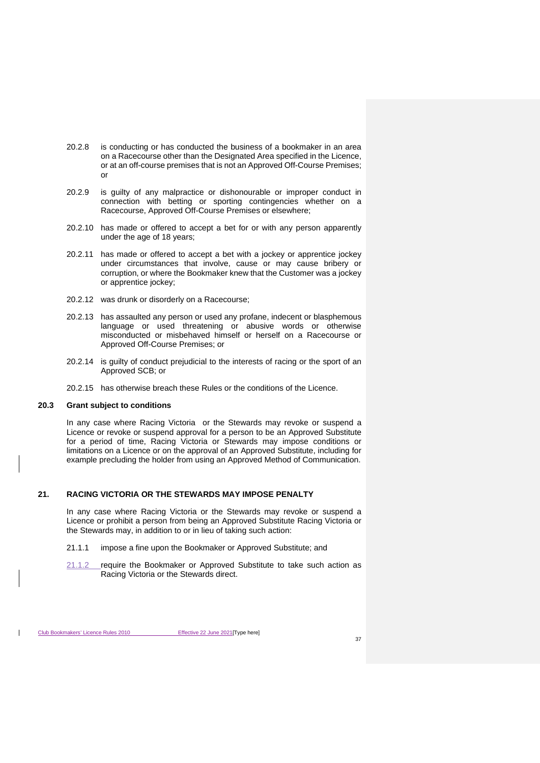- 20.2.8 is conducting or has conducted the business of a bookmaker in an area on a Racecourse other than the Designated Area specified in the Licence, or at an off-course premises that is not an Approved Off-Course Premises; or
- 20.2.9 is guilty of any malpractice or dishonourable or improper conduct in connection with betting or sporting contingencies whether on a Racecourse, Approved Off-Course Premises or elsewhere;
- 20.2.10 has made or offered to accept a bet for or with any person apparently under the age of 18 years;
- 20.2.11 has made or offered to accept a bet with a jockey or apprentice jockey under circumstances that involve, cause or may cause bribery or corruption, or where the Bookmaker knew that the Customer was a jockey or apprentice jockey;
- 20.2.12 was drunk or disorderly on a Racecourse;
- 20.2.13 has assaulted any person or used any profane, indecent or blasphemous language or used threatening or abusive words or otherwise misconducted or misbehaved himself or herself on a Racecourse or Approved Off-Course Premises; or
- 20.2.14 is guilty of conduct prejudicial to the interests of racing or the sport of an Approved SCB; or
- 20.2.15 has otherwise breach these Rules or the conditions of the Licence.

# <span id="page-53-0"></span>**20.3 Grant subject to conditions**

In any case where Racing Victoria or the Stewards may revoke or suspend a Licence or revoke or suspend approval for a person to be an Approved Substitute for a period of time, Racing Victoria or Stewards may impose conditions or limitations on a Licence or on the approval of an Approved Substitute, including for example precluding the holder from using an Approved Method of Communication.

#### <span id="page-53-1"></span>**21. RACING VICTORIA OR THE STEWARDS MAY IMPOSE PENALTY**

In any case where Racing Victoria or the Stewards may revoke or suspend a Licence or prohibit a person from being an Approved Substitute Racing Victoria or the Stewards may, in addition to or in lieu of taking such action:

- 21.1.1 impose a fine upon the Bookmaker or Approved Substitute; and
- 21.1.2 require the Bookmaker or Approved Substitute to take such action as Racing Victoria or the Stewards direct.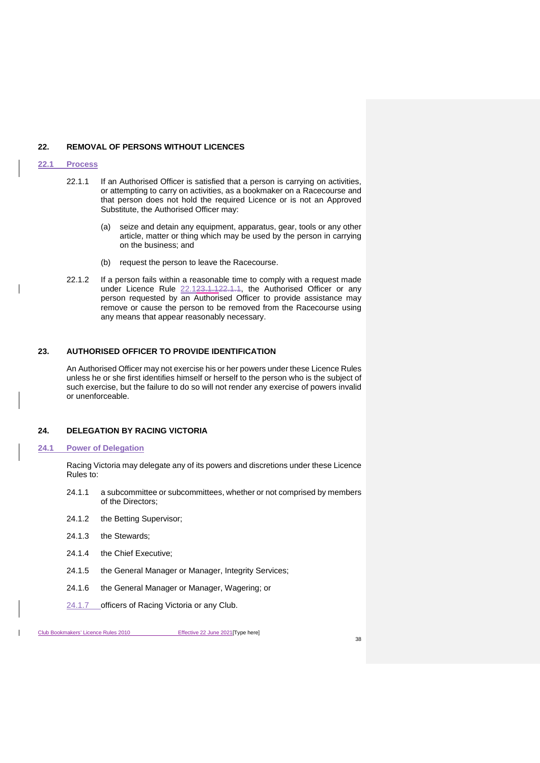#### <span id="page-54-0"></span>**22. REMOVAL OF PERSONS WITHOUT LICENCES**

#### <span id="page-54-1"></span>**22.1 Process**

- 22.1.1 If an Authorised Officer is satisfied that a person is carrying on activities, or attempting to carry on activities, as a bookmaker on a Racecourse and that person does not hold the required Licence or is not an Approved Substitute, the Authorised Officer may:
	- (a) seize and detain any equipment, apparatus, gear, tools or any other article, matter or thing which may be used by the person in carrying on the business; and
	- (b) request the person to leave the Racecourse.
- 22.1.2 If a person fails within a reasonable time to comply with a request made under Licence Rule [22.123.1.122.1.1,](#page-54-1) the Authorised Officer or any person requested by an Authorised Officer to provide assistance may remove or cause the person to be removed from the Racecourse using any means that appear reasonably necessary.

## <span id="page-54-2"></span>**23. AUTHORISED OFFICER TO PROVIDE IDENTIFICATION**

An Authorised Officer may not exercise his or her powers under these Licence Rules unless he or she first identifies himself or herself to the person who is the subject of such exercise, but the failure to do so will not render any exercise of powers invalid or unenforceable.

## <span id="page-54-3"></span>**24. DELEGATION BY RACING VICTORIA**

#### <span id="page-54-4"></span>**24.1 Power of Delegation**

Racing Victoria may delegate any of its powers and discretions under these Licence Rules to:

- 24.1.1 a subcommittee or subcommittees, whether or not comprised by members of the Directors;
- 24.1.2 the Betting Supervisor;
- 24.1.3 the Stewards;
- 24.1.4 the Chief Executive;
- 24.1.5 the General Manager or Manager, Integrity Services;
- 24.1.6 the General Manager or Manager, Wagering; or
- 24.1.7 officers of Racing Victoria or any Club.